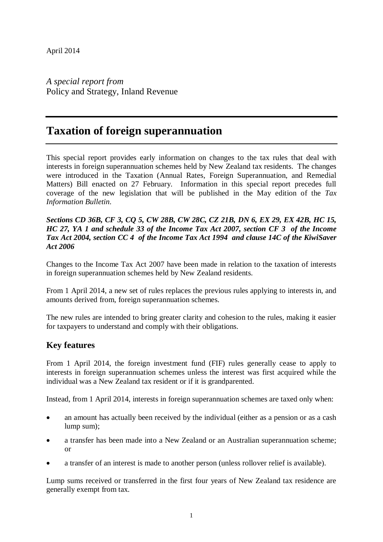*A special report from*  Policy and Strategy, Inland Revenue

# **Taxation of foreign superannuation**

This special report provides early information on changes to the tax rules that deal with interests in foreign superannuation schemes held by New Zealand tax residents. The changes were introduced in the Taxation (Annual Rates, Foreign Superannuation, and Remedial Matters) Bill enacted on 27 February. Information in this special report precedes full coverage of the new legislation that will be published in the May edition of the *Tax Information Bulletin*.

## *Sections CD 36B, CF 3, CQ 5, CW 28B, CW 28C, CZ 21B, DN 6, EX 29, EX 42B, HC 15, HC 27, YA 1 and schedule 33 of the Income Tax Act 2007, section CF 3 of the Income Tax Act 2004, section CC 4 of the Income Tax Act 1994 and clause 14C of the KiwiSaver Act 2006*

Changes to the Income Tax Act 2007 have been made in relation to the taxation of interests in foreign superannuation schemes held by New Zealand residents.

From 1 April 2014, a new set of rules replaces the previous rules applying to interests in, and amounts derived from, foreign superannuation schemes.

The new rules are intended to bring greater clarity and cohesion to the rules, making it easier for taxpayers to understand and comply with their obligations.

## **Key features**

From 1 April 2014, the foreign investment fund (FIF) rules generally cease to apply to interests in foreign superannuation schemes unless the interest was first acquired while the individual was a New Zealand tax resident or if it is grandparented.

Instead, from 1 April 2014, interests in foreign superannuation schemes are taxed only when:

- an amount has actually been received by the individual (either as a pension or as a cash lump sum);
- a transfer has been made into a New Zealand or an Australian superannuation scheme; or
- a transfer of an interest is made to another person (unless rollover relief is available).

Lump sums received or transferred in the first four years of New Zealand tax residence are generally exempt from tax.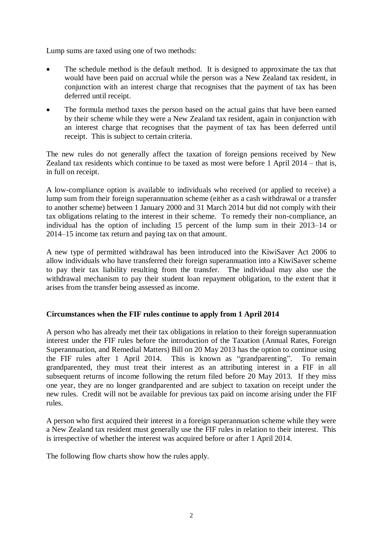Lump sums are taxed using one of two methods:

- The schedule method is the default method. It is designed to approximate the tax that would have been paid on accrual while the person was a New Zealand tax resident, in conjunction with an interest charge that recognises that the payment of tax has been deferred until receipt.
- The formula method taxes the person based on the actual gains that have been earned by their scheme while they were a New Zealand tax resident, again in conjunction with an interest charge that recognises that the payment of tax has been deferred until receipt. This is subject to certain criteria.

The new rules do not generally affect the taxation of foreign pensions received by New Zealand tax residents which continue to be taxed as most were before 1 April 2014 – that is, in full on receipt.

A low-compliance option is available to individuals who received (or applied to receive) a lump sum from their foreign superannuation scheme (either as a cash withdrawal or a transfer to another scheme) between 1 January 2000 and 31 March 2014 but did not comply with their tax obligations relating to the interest in their scheme. To remedy their non-compliance, an individual has the option of including 15 percent of the lump sum in their 2013–14 or 2014–15 income tax return and paying tax on that amount.

A new type of permitted withdrawal has been introduced into the KiwiSaver Act 2006 to allow individuals who have transferred their foreign superannuation into a KiwiSaver scheme to pay their tax liability resulting from the transfer. The individual may also use the withdrawal mechanism to pay their student loan repayment obligation, to the extent that it arises from the transfer being assessed as income.

## **Circumstances when the FIF rules continue to apply from 1 April 2014**

A person who has already met their tax obligations in relation to their foreign superannuation interest under the FIF rules before the introduction of the Taxation (Annual Rates, Foreign Superannuation, and Remedial Matters) Bill on 20 May 2013 has the option to continue using the FIF rules after 1 April 2014. This is known as "grandparenting". To remain grandparented, they must treat their interest as an attributing interest in a FIF in all subsequent returns of income following the return filed before 20 May 2013. If they miss one year, they are no longer grandparented and are subject to taxation on receipt under the new rules. Credit will not be available for previous tax paid on income arising under the FIF rules.

A person who first acquired their interest in a foreign superannuation scheme while they were a New Zealand tax resident must generally use the FIF rules in relation to their interest. This is irrespective of whether the interest was acquired before or after 1 April 2014.

The following flow charts show how the rules apply.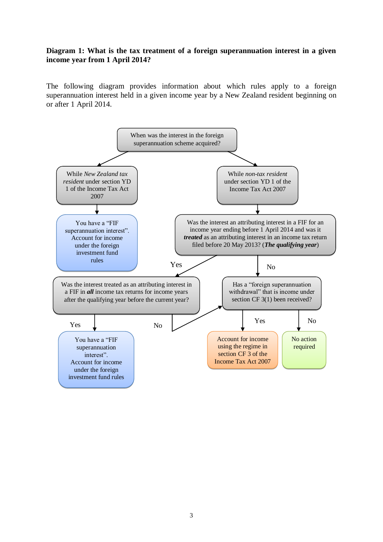## **Diagram 1: What is the tax treatment of a foreign superannuation interest in a given income year from 1 April 2014?**

The following diagram provides information about which rules apply to a foreign superannuation interest held in a given income year by a New Zealand resident beginning on or after 1 April 2014.

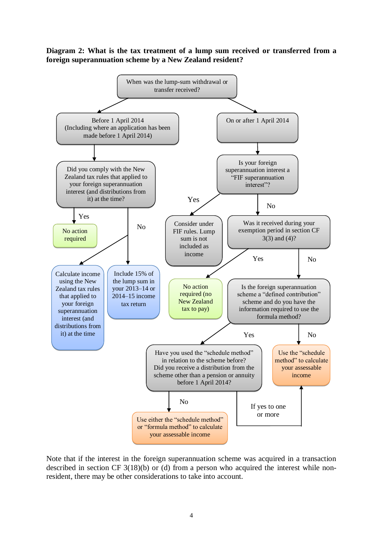## **Diagram 2: What is the tax treatment of a lump sum received or transferred from a foreign superannuation scheme by a New Zealand resident?**



Note that if the interest in the foreign superannuation scheme was acquired in a transaction described in section CF 3(18)(b) or (d) from a person who acquired the interest while nonresident, there may be other considerations to take into account.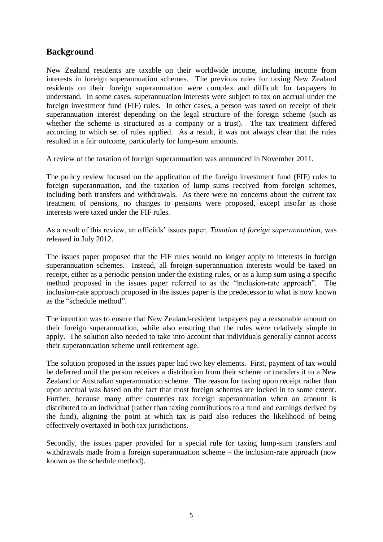## **Background**

New Zealand residents are taxable on their worldwide income, including income from interests in foreign superannuation schemes. The previous rules for taxing New Zealand residents on their foreign superannuation were complex and difficult for taxpayers to understand. In some cases, superannuation interests were subject to tax on accrual under the foreign investment fund (FIF) rules. In other cases, a person was taxed on receipt of their superannuation interest depending on the legal structure of the foreign scheme (such as whether the scheme is structured as a company or a trust). The tax treatment differed according to which set of rules applied. As a result, it was not always clear that the rules resulted in a fair outcome, particularly for lump-sum amounts.

A review of the taxation of foreign superannuation was announced in November 2011.

The policy review focused on the application of the foreign investment fund (FIF) rules to foreign superannuation, and the taxation of lump sums received from foreign schemes, including both transfers and withdrawals. As there were no concerns about the current tax treatment of pensions, no changes to pensions were proposed, except insofar as those interests were taxed under the FIF rules.

As a result of this review, an officials' issues paper, *Taxation of foreign superannuation*, was released in July 2012.

The issues paper proposed that the FIF rules would no longer apply to interests in foreign superannuation schemes. Instead, all foreign superannuation interests would be taxed on receipt, either as a periodic pension under the existing rules, or as a lump sum using a specific method proposed in the issues paper referred to as the "inclusion-rate approach". The inclusion-rate approach proposed in the issues paper is the predecessor to what is now known as the "schedule method".

The intention was to ensure that New Zealand-resident taxpayers pay a reasonable amount on their foreign superannuation, while also ensuring that the rules were relatively simple to apply. The solution also needed to take into account that individuals generally cannot access their superannuation scheme until retirement age.

The solution proposed in the issues paper had two key elements. First, payment of tax would be deferred until the person receives a distribution from their scheme or transfers it to a New Zealand or Australian superannuation scheme. The reason for taxing upon receipt rather than upon accrual was based on the fact that most foreign schemes are locked in to some extent. Further, because many other countries tax foreign superannuation when an amount is distributed to an individual (rather than taxing contributions to a fund and earnings derived by the fund), aligning the point at which tax is paid also reduces the likelihood of being effectively overtaxed in both tax jurisdictions.

Secondly, the issues paper provided for a special rule for taxing lump-sum transfers and withdrawals made from a foreign superannuation scheme – the inclusion-rate approach (now known as the schedule method).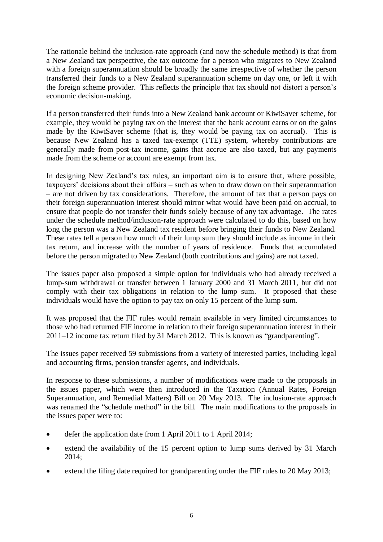The rationale behind the inclusion-rate approach (and now the schedule method) is that from a New Zealand tax perspective, the tax outcome for a person who migrates to New Zealand with a foreign superannuation should be broadly the same irrespective of whether the person transferred their funds to a New Zealand superannuation scheme on day one, or left it with the foreign scheme provider. This reflects the principle that tax should not distort a person's economic decision-making.

If a person transferred their funds into a New Zealand bank account or KiwiSaver scheme, for example, they would be paying tax on the interest that the bank account earns or on the gains made by the KiwiSaver scheme (that is, they would be paying tax on accrual). This is because New Zealand has a taxed tax-exempt (TTE) system, whereby contributions are generally made from post-tax income, gains that accrue are also taxed, but any payments made from the scheme or account are exempt from tax.

In designing New Zealand's tax rules, an important aim is to ensure that, where possible, taxpayers' decisions about their affairs – such as when to draw down on their superannuation – are not driven by tax considerations. Therefore, the amount of tax that a person pays on their foreign superannuation interest should mirror what would have been paid on accrual, to ensure that people do not transfer their funds solely because of any tax advantage. The rates under the schedule method/inclusion-rate approach were calculated to do this, based on how long the person was a New Zealand tax resident before bringing their funds to New Zealand. These rates tell a person how much of their lump sum they should include as income in their tax return, and increase with the number of years of residence. Funds that accumulated before the person migrated to New Zealand (both contributions and gains) are not taxed.

The issues paper also proposed a simple option for individuals who had already received a lump-sum withdrawal or transfer between 1 January 2000 and 31 March 2011, but did not comply with their tax obligations in relation to the lump sum. It proposed that these individuals would have the option to pay tax on only 15 percent of the lump sum.

It was proposed that the FIF rules would remain available in very limited circumstances to those who had returned FIF income in relation to their foreign superannuation interest in their 2011–12 income tax return filed by 31 March 2012. This is known as "grandparenting".

The issues paper received 59 submissions from a variety of interested parties, including legal and accounting firms, pension transfer agents, and individuals.

In response to these submissions, a number of modifications were made to the proposals in the issues paper, which were then introduced in the Taxation (Annual Rates, Foreign Superannuation, and Remedial Matters) Bill on 20 May 2013. The inclusion-rate approach was renamed the "schedule method" in the bill. The main modifications to the proposals in the issues paper were to:

- defer the application date from 1 April 2011 to 1 April 2014;
- extend the availability of the 15 percent option to lump sums derived by 31 March 2014;
- extend the filing date required for grandparenting under the FIF rules to 20 May 2013;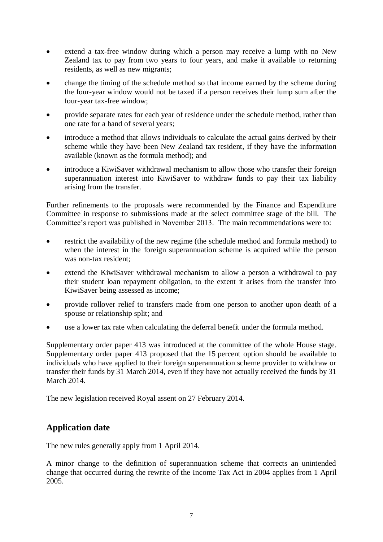- extend a tax-free window during which a person may receive a lump with no New Zealand tax to pay from two years to four years, and make it available to returning residents, as well as new migrants;
- change the timing of the schedule method so that income earned by the scheme during the four-year window would not be taxed if a person receives their lump sum after the four-year tax-free window;
- provide separate rates for each year of residence under the schedule method, rather than one rate for a band of several years;
- introduce a method that allows individuals to calculate the actual gains derived by their scheme while they have been New Zealand tax resident, if they have the information available (known as the formula method); and
- introduce a KiwiSaver withdrawal mechanism to allow those who transfer their foreign superannuation interest into KiwiSaver to withdraw funds to pay their tax liability arising from the transfer.

Further refinements to the proposals were recommended by the Finance and Expenditure Committee in response to submissions made at the select committee stage of the bill. The Committee's report was published in November 2013. The main recommendations were to:

- restrict the availability of the new regime (the schedule method and formula method) to when the interest in the foreign superannuation scheme is acquired while the person was non-tax resident;
- extend the KiwiSaver withdrawal mechanism to allow a person a withdrawal to pay their student loan repayment obligation, to the extent it arises from the transfer into KiwiSaver being assessed as income;
- provide rollover relief to transfers made from one person to another upon death of a spouse or relationship split; and
- use a lower tax rate when calculating the deferral benefit under the formula method.

Supplementary order paper 413 was introduced at the committee of the whole House stage. Supplementary order paper 413 proposed that the 15 percent option should be available to individuals who have applied to their foreign superannuation scheme provider to withdraw or transfer their funds by 31 March 2014, even if they have not actually received the funds by 31 March 2014.

The new legislation received Royal assent on 27 February 2014.

## **Application date**

The new rules generally apply from 1 April 2014.

A minor change to the definition of superannuation scheme that corrects an unintended change that occurred during the rewrite of the Income Tax Act in 2004 applies from 1 April 2005.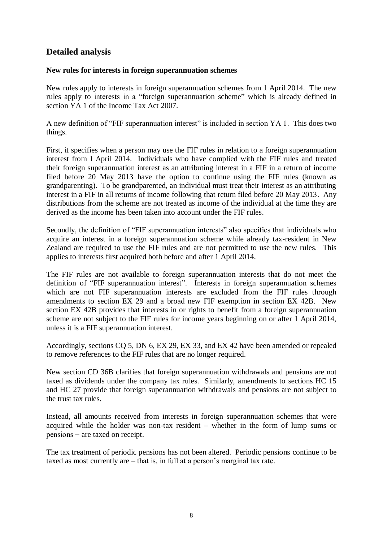## **Detailed analysis**

## **New rules for interests in foreign superannuation schemes**

New rules apply to interests in foreign superannuation schemes from 1 April 2014. The new rules apply to interests in a "foreign superannuation scheme" which is already defined in section YA 1 of the Income Tax Act 2007.

A new definition of "FIF superannuation interest" is included in section YA 1. This does two things.

First, it specifies when a person may use the FIF rules in relation to a foreign superannuation interest from 1 April 2014. Individuals who have complied with the FIF rules and treated their foreign superannuation interest as an attributing interest in a FIF in a return of income filed before 20 May 2013 have the option to continue using the FIF rules (known as grandparenting). To be grandparented, an individual must treat their interest as an attributing interest in a FIF in all returns of income following that return filed before 20 May 2013. Any distributions from the scheme are not treated as income of the individual at the time they are derived as the income has been taken into account under the FIF rules.

Secondly, the definition of "FIF superannuation interests" also specifies that individuals who acquire an interest in a foreign superannuation scheme while already tax-resident in New Zealand are required to use the FIF rules and are not permitted to use the new rules. This applies to interests first acquired both before and after 1 April 2014.

The FIF rules are not available to foreign superannuation interests that do not meet the definition of "FIF superannuation interest". Interests in foreign superannuation schemes which are not FIF superannuation interests are excluded from the FIF rules through amendments to section EX 29 and a broad new FIF exemption in section EX 42B. New section EX 42B provides that interests in or rights to benefit from a foreign superannuation scheme are not subject to the FIF rules for income years beginning on or after 1 April 2014, unless it is a FIF superannuation interest.

Accordingly, sections CQ 5, DN 6, EX 29, EX 33, and EX 42 have been amended or repealed to remove references to the FIF rules that are no longer required.

New section CD 36B clarifies that foreign superannuation withdrawals and pensions are not taxed as dividends under the company tax rules. Similarly, amendments to sections HC 15 and HC 27 provide that foreign superannuation withdrawals and pensions are not subject to the trust tax rules.

Instead, all amounts received from interests in foreign superannuation schemes that were acquired while the holder was non-tax resident – whether in the form of lump sums or pensions − are taxed on receipt.

The tax treatment of periodic pensions has not been altered. Periodic pensions continue to be taxed as most currently are – that is, in full at a person's marginal tax rate.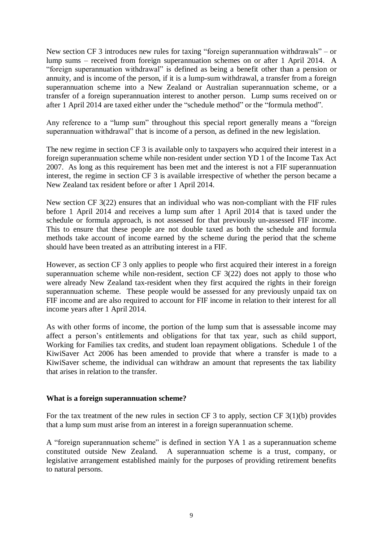New section CF 3 introduces new rules for taxing "foreign superannuation withdrawals" – or lump sums – received from foreign superannuation schemes on or after 1 April 2014. A "foreign superannuation withdrawal" is defined as being a benefit other than a pension or annuity, and is income of the person, if it is a lump-sum withdrawal, a transfer from a foreign superannuation scheme into a New Zealand or Australian superannuation scheme, or a transfer of a foreign superannuation interest to another person. Lump sums received on or after 1 April 2014 are taxed either under the "schedule method" or the "formula method".

Any reference to a "lump sum" throughout this special report generally means a "foreign superannuation withdrawal" that is income of a person, as defined in the new legislation.

The new regime in section CF 3 is available only to taxpayers who acquired their interest in a foreign superannuation scheme while non-resident under section YD 1 of the Income Tax Act 2007. As long as this requirement has been met and the interest is not a FIF superannuation interest, the regime in section CF 3 is available irrespective of whether the person became a New Zealand tax resident before or after 1 April 2014.

New section CF 3(22) ensures that an individual who was non-compliant with the FIF rules before 1 April 2014 and receives a lump sum after 1 April 2014 that is taxed under the schedule or formula approach, is not assessed for that previously un-assessed FIF income. This to ensure that these people are not double taxed as both the schedule and formula methods take account of income earned by the scheme during the period that the scheme should have been treated as an attributing interest in a FIF.

However, as section CF 3 only applies to people who first acquired their interest in a foreign superannuation scheme while non-resident, section CF 3(22) does not apply to those who were already New Zealand tax-resident when they first acquired the rights in their foreign superannuation scheme. These people would be assessed for any previously unpaid tax on FIF income and are also required to account for FIF income in relation to their interest for all income years after 1 April 2014.

As with other forms of income, the portion of the lump sum that is assessable income may affect a person's entitlements and obligations for that tax year, such as child support, Working for Families tax credits, and student loan repayment obligations. Schedule 1 of the KiwiSaver Act 2006 has been amended to provide that where a transfer is made to a KiwiSaver scheme, the individual can withdraw an amount that represents the tax liability that arises in relation to the transfer.

## **What is a foreign superannuation scheme?**

For the tax treatment of the new rules in section CF 3 to apply, section CF 3(1)(b) provides that a lump sum must arise from an interest in a foreign superannuation scheme.

A "foreign superannuation scheme" is defined in section YA 1 as a superannuation scheme constituted outside New Zealand. A superannuation scheme is a trust, company, or legislative arrangement established mainly for the purposes of providing retirement benefits to natural persons.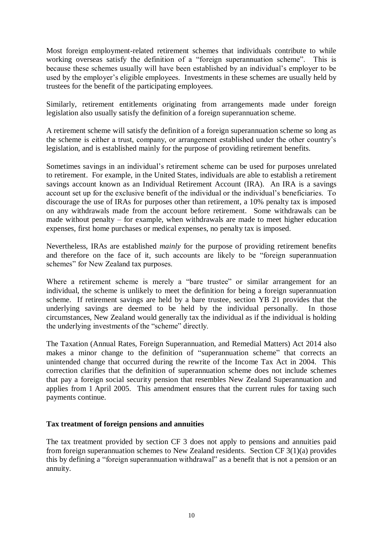Most foreign employment-related retirement schemes that individuals contribute to while working overseas satisfy the definition of a "foreign superannuation scheme". This is because these schemes usually will have been established by an individual's employer to be used by the employer's eligible employees. Investments in these schemes are usually held by trustees for the benefit of the participating employees.

Similarly, retirement entitlements originating from arrangements made under foreign legislation also usually satisfy the definition of a foreign superannuation scheme.

A retirement scheme will satisfy the definition of a foreign superannuation scheme so long as the scheme is either a trust, company, or arrangement established under the other country's legislation, and is established mainly for the purpose of providing retirement benefits.

Sometimes savings in an individual's retirement scheme can be used for purposes unrelated to retirement. For example, in the United States, individuals are able to establish a retirement savings account known as an Individual Retirement Account (IRA). An IRA is a savings account set up for the exclusive benefit of the individual or the individual's beneficiaries. To discourage the use of IRAs for purposes other than retirement, a 10% penalty tax is imposed on any withdrawals made from the account before retirement. Some withdrawals can be made without penalty – for example, when withdrawals are made to meet higher education expenses, first home purchases or medical expenses, no penalty tax is imposed.

Nevertheless, IRAs are established *mainly* for the purpose of providing retirement benefits and therefore on the face of it, such accounts are likely to be "foreign superannuation schemes" for New Zealand tax purposes.

Where a retirement scheme is merely a "bare trustee" or similar arrangement for an individual, the scheme is unlikely to meet the definition for being a foreign superannuation scheme. If retirement savings are held by a bare trustee, section YB 21 provides that the underlying savings are deemed to be held by the individual personally. In those circumstances, New Zealand would generally tax the individual as if the individual is holding the underlying investments of the "scheme" directly.

The Taxation (Annual Rates, Foreign Superannuation, and Remedial Matters) Act 2014 also makes a minor change to the definition of "superannuation scheme" that corrects an unintended change that occurred during the rewrite of the Income Tax Act in 2004. This correction clarifies that the definition of superannuation scheme does not include schemes that pay a foreign social security pension that resembles New Zealand Superannuation and applies from 1 April 2005. This amendment ensures that the current rules for taxing such payments continue.

## **Tax treatment of foreign pensions and annuities**

The tax treatment provided by section CF 3 does not apply to pensions and annuities paid from foreign superannuation schemes to New Zealand residents. Section CF 3(1)(a) provides this by defining a "foreign superannuation withdrawal" as a benefit that is not a pension or an annuity.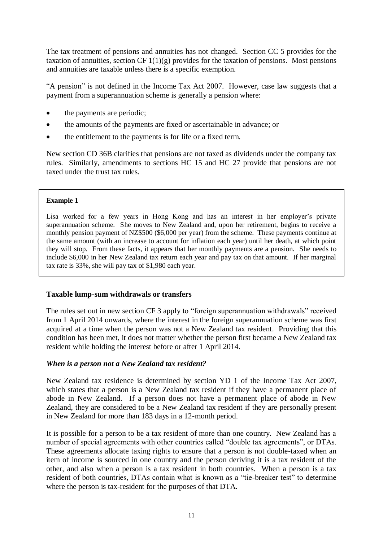The tax treatment of pensions and annuities has not changed. Section CC 5 provides for the taxation of annuities, section CF  $1(1)(g)$  provides for the taxation of pensions. Most pensions and annuities are taxable unless there is a specific exemption.

"A pension" is not defined in the Income Tax Act 2007. However, case law suggests that a payment from a superannuation scheme is generally a pension where:

- the payments are periodic;
- the amounts of the payments are fixed or ascertainable in advance; or
- the entitlement to the payments is for life or a fixed term.

New section CD 36B clarifies that pensions are not taxed as dividends under the company tax rules. Similarly, amendments to sections HC 15 and HC 27 provide that pensions are not taxed under the trust tax rules.

#### **Example 1**

Lisa worked for a few years in Hong Kong and has an interest in her employer's private superannuation scheme. She moves to New Zealand and, upon her retirement, begins to receive a monthly pension payment of NZ\$500 (\$6,000 per year) from the scheme. These payments continue at the same amount (with an increase to account for inflation each year) until her death, at which point they will stop. From these facts, it appears that her monthly payments are a pension. She needs to include \$6,000 in her New Zealand tax return each year and pay tax on that amount. If her marginal tax rate is 33%, she will pay tax of \$1,980 each year.

## **Taxable lump-sum withdrawals or transfers**

The rules set out in new section CF 3 apply to "foreign superannuation withdrawals" received from 1 April 2014 onwards, where the interest in the foreign superannuation scheme was first acquired at a time when the person was not a New Zealand tax resident. Providing that this condition has been met, it does not matter whether the person first became a New Zealand tax resident while holding the interest before or after 1 April 2014.

## *When is a person not a New Zealand tax resident?*

New Zealand tax residence is determined by section YD 1 of the Income Tax Act 2007, which states that a person is a New Zealand tax resident if they have a permanent place of abode in New Zealand. If a person does not have a permanent place of abode in New Zealand, they are considered to be a New Zealand tax resident if they are personally present in New Zealand for more than 183 days in a 12-month period.

It is possible for a person to be a tax resident of more than one country. New Zealand has a number of special agreements with other countries called "double tax agreements", or DTAs. These agreements allocate taxing rights to ensure that a person is not double-taxed when an item of income is sourced in one country and the person deriving it is a tax resident of the other, and also when a person is a tax resident in both countries. When a person is a tax resident of both countries, DTAs contain what is known as a "tie-breaker test" to determine where the person is tax-resident for the purposes of that DTA.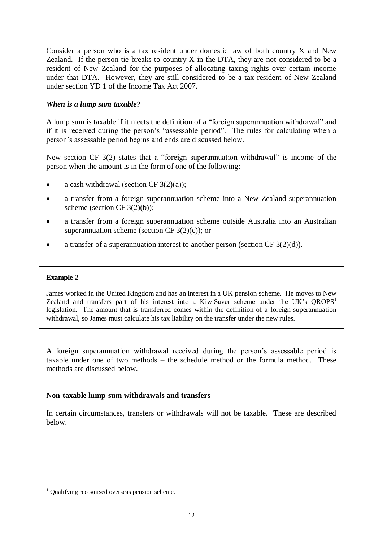Consider a person who is a tax resident under domestic law of both country X and New Zealand. If the person tie-breaks to country  $X$  in the DTA, they are not considered to be a resident of New Zealand for the purposes of allocating taxing rights over certain income under that DTA. However, they are still considered to be a tax resident of New Zealand under section YD 1 of the Income Tax Act 2007.

## *When is a lump sum taxable?*

A lump sum is taxable if it meets the definition of a "foreign superannuation withdrawal" and if it is received during the person's "assessable period". The rules for calculating when a person's assessable period begins and ends are discussed below.

New section CF 3(2) states that a "foreign superannuation withdrawal" is income of the person when the amount is in the form of one of the following:

- a cash withdrawal (section CF  $3(2)(a)$ );
- a transfer from a foreign superannuation scheme into a New Zealand superannuation scheme (section CF  $3(2)(b)$ );
- a transfer from a foreign superannuation scheme outside Australia into an Australian superannuation scheme (section CF  $3(2)(c)$ ); or
- a transfer of a superannuation interest to another person (section CF 3(2)(d)).

## **Example 2**

<u>.</u>

James worked in the United Kingdom and has an interest in a UK pension scheme. He moves to New Zealand and transfers part of his interest into a KiwiSaver scheme under the UK's  $OROPS<sup>1</sup>$ legislation. The amount that is transferred comes within the definition of a foreign superannuation withdrawal, so James must calculate his tax liability on the transfer under the new rules.

A foreign superannuation withdrawal received during the person's assessable period is taxable under one of two methods – the schedule method or the formula method. These methods are discussed below.

## **Non-taxable lump-sum withdrawals and transfers**

In certain circumstances, transfers or withdrawals will not be taxable. These are described below.

 $1$  Qualifying recognised overseas pension scheme.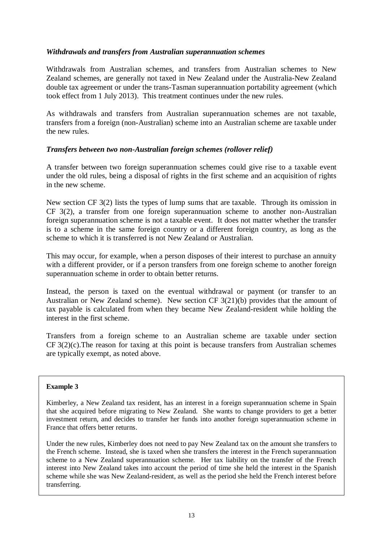## *Withdrawals and transfers from Australian superannuation schemes*

Withdrawals from Australian schemes, and transfers from Australian schemes to New Zealand schemes, are generally not taxed in New Zealand under the Australia-New Zealand double tax agreement or under the trans-Tasman superannuation portability agreement (which took effect from 1 July 2013). This treatment continues under the new rules.

As withdrawals and transfers from Australian superannuation schemes are not taxable, transfers from a foreign (non-Australian) scheme into an Australian scheme are taxable under the new rules.

## <span id="page-12-0"></span>*Transfers between two non-Australian foreign schemes (rollover relief)*

A transfer between two foreign superannuation schemes could give rise to a taxable event under the old rules, being a disposal of rights in the first scheme and an acquisition of rights in the new scheme.

New section CF 3(2) lists the types of lump sums that are taxable. Through its omission in CF 3(2), a transfer from one foreign superannuation scheme to another non-Australian foreign superannuation scheme is not a taxable event. It does not matter whether the transfer is to a scheme in the same foreign country or a different foreign country, as long as the scheme to which it is transferred is not New Zealand or Australian.

This may occur, for example, when a person disposes of their interest to purchase an annuity with a different provider, or if a person transfers from one foreign scheme to another foreign superannuation scheme in order to obtain better returns.

Instead, the person is taxed on the eventual withdrawal or payment (or transfer to an Australian or New Zealand scheme). New section CF 3(21)(b) provides that the amount of tax payable is calculated from when they became New Zealand-resident while holding the interest in the first scheme.

Transfers from a foreign scheme to an Australian scheme are taxable under section CF 3(2)(c).The reason for taxing at this point is because transfers from Australian schemes are typically exempt, as noted above.

## **Example 3**

Kimberley, a New Zealand tax resident, has an interest in a foreign superannuation scheme in Spain that she acquired before migrating to New Zealand. She wants to change providers to get a better investment return, and decides to transfer her funds into another foreign superannuation scheme in France that offers better returns.

Under the new rules, Kimberley does not need to pay New Zealand tax on the amount she transfers to the French scheme. Instead, she is taxed when she transfers the interest in the French superannuation scheme to a New Zealand superannuation scheme. Her tax liability on the transfer of the French interest into New Zealand takes into account the period of time she held the interest in the Spanish scheme while she was New Zealand-resident, as well as the period she held the French interest before transferring.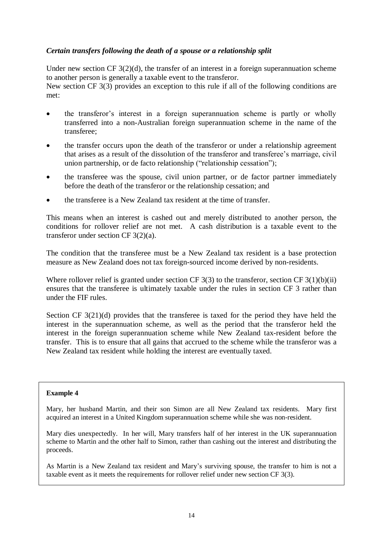## <span id="page-13-0"></span>*Certain transfers following the death of a spouse or a relationship split*

Under new section CF  $3(2)(d)$ , the transfer of an interest in a foreign superannuation scheme to another person is generally a taxable event to the transferor. New section CF 3(3) provides an exception to this rule if all of the following conditions are met:

- the transferor's interest in a foreign superannuation scheme is partly or wholly transferred into a non-Australian foreign superannuation scheme in the name of the transferee;
- the transfer occurs upon the death of the transferor or under a relationship agreement that arises as a result of the dissolution of the transferor and transferee's marriage, civil union partnership, or de facto relationship ("relationship cessation");
- the transferee was the spouse, civil union partner, or de factor partner immediately before the death of the transferor or the relationship cessation; and
- the transferee is a New Zealand tax resident at the time of transfer.

This means when an interest is cashed out and merely distributed to another person, the conditions for rollover relief are not met. A cash distribution is a taxable event to the transferor under section CF 3(2)(a).

The condition that the transferee must be a New Zealand tax resident is a base protection measure as New Zealand does not tax foreign-sourced income derived by non-residents.

Where rollover relief is granted under section CF  $3(3)$  to the transferor, section CF  $3(1)(b)(ii)$ ensures that the transferee is ultimately taxable under the rules in section CF 3 rather than under the FIF rules.

Section CF 3(21)(d) provides that the transferee is taxed for the period they have held the interest in the superannuation scheme, as well as the period that the transferor held the interest in the foreign superannuation scheme while New Zealand tax-resident before the transfer. This is to ensure that all gains that accrued to the scheme while the transferor was a New Zealand tax resident while holding the interest are eventually taxed.

## **Example 4**

Mary, her husband Martin, and their son Simon are all New Zealand tax residents. Mary first acquired an interest in a United Kingdom superannuation scheme while she was non-resident.

Mary dies unexpectedly. In her will, Mary transfers half of her interest in the UK superannuation scheme to Martin and the other half to Simon, rather than cashing out the interest and distributing the proceeds.

As Martin is a New Zealand tax resident and Mary's surviving spouse, the transfer to him is not a taxable event as it meets the requirements for rollover relief under new section CF 3(3).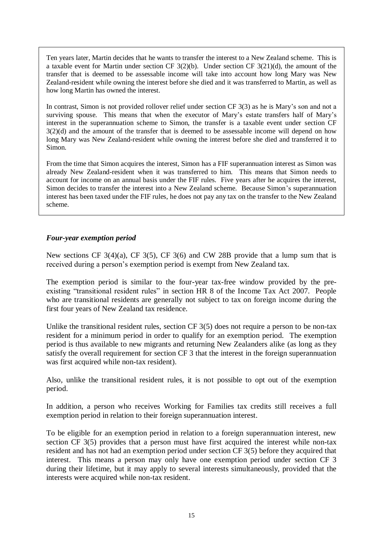Ten years later, Martin decides that he wants to transfer the interest to a New Zealand scheme. This is a taxable event for Martin under section CF 3(2)(b). Under section CF 3(21)(d), the amount of the transfer that is deemed to be assessable income will take into account how long Mary was New Zealand-resident while owning the interest before she died and it was transferred to Martin, as well as how long Martin has owned the interest.

In contrast, Simon is not provided rollover relief under section CF 3(3) as he is Mary's son and not a surviving spouse. This means that when the executor of Mary's estate transfers half of Mary's interest in the superannuation scheme to Simon, the transfer is a taxable event under section CF 3(2)(d) and the amount of the transfer that is deemed to be assessable income will depend on how long Mary was New Zealand-resident while owning the interest before she died and transferred it to Simon.

From the time that Simon acquires the interest, Simon has a FIF superannuation interest as Simon was already New Zealand-resident when it was transferred to him. This means that Simon needs to account for income on an annual basis under the FIF rules. Five years after he acquires the interest, Simon decides to transfer the interest into a New Zealand scheme. Because Simon's superannuation interest has been taxed under the FIF rules, he does not pay any tax on the transfer to the New Zealand scheme.

## *Four-year exemption period*

New sections CF  $3(4)(a)$ , CF  $3(5)$ , CF  $3(6)$  and CW 28B provide that a lump sum that is received during a person's exemption period is exempt from New Zealand tax.

The exemption period is similar to the four-year tax-free window provided by the preexisting "transitional resident rules" in section HR 8 of the Income Tax Act 2007. People who are transitional residents are generally not subject to tax on foreign income during the first four years of New Zealand tax residence.

Unlike the transitional resident rules, section CF 3(5) does not require a person to be non-tax resident for a minimum period in order to qualify for an exemption period. The exemption period is thus available to new migrants and returning New Zealanders alike (as long as they satisfy the overall requirement for section CF 3 that the interest in the foreign superannuation was first acquired while non-tax resident).

Also, unlike the transitional resident rules, it is not possible to opt out of the exemption period.

In addition, a person who receives Working for Families tax credits still receives a full exemption period in relation to their foreign superannuation interest.

To be eligible for an exemption period in relation to a foreign superannuation interest, new section CF 3(5) provides that a person must have first acquired the interest while non-tax resident and has not had an exemption period under section CF 3(5) before they acquired that interest. This means a person may only have one exemption period under section CF 3 during their lifetime, but it may apply to several interests simultaneously, provided that the interests were acquired while non-tax resident.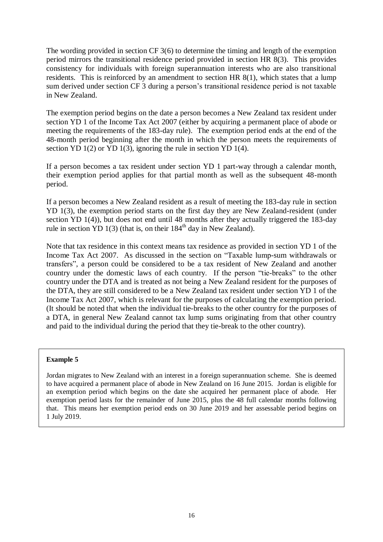The wording provided in section CF 3(6) to determine the timing and length of the exemption period mirrors the transitional residence period provided in section HR 8(3). This provides consistency for individuals with foreign superannuation interests who are also transitional residents. This is reinforced by an amendment to section HR 8(1), which states that a lump sum derived under section CF 3 during a person's transitional residence period is not taxable in New Zealand.

The exemption period begins on the date a person becomes a New Zealand tax resident under section YD 1 of the Income Tax Act 2007 (either by acquiring a permanent place of abode or meeting the requirements of the 183-day rule). The exemption period ends at the end of the 48-month period beginning after the month in which the person meets the requirements of section YD 1(2) or YD 1(3), ignoring the rule in section YD 1(4).

If a person becomes a tax resident under section YD 1 part-way through a calendar month, their exemption period applies for that partial month as well as the subsequent 48-month period.

If a person becomes a New Zealand resident as a result of meeting the 183-day rule in section YD 1(3), the exemption period starts on the first day they are New Zealand-resident (under section YD 1(4)), but does not end until 48 months after they actually triggered the 183-day rule in section YD 1(3) (that is, on their  $184<sup>th</sup>$  day in New Zealand).

Note that tax residence in this context means tax residence as provided in section YD 1 of the Income Tax Act 2007. As discussed in the section on "Taxable lump-sum withdrawals or transfers", a person could be considered to be a tax resident of New Zealand and another country under the domestic laws of each country. If the person "tie-breaks" to the other country under the DTA and is treated as not being a New Zealand resident for the purposes of the DTA, they are still considered to be a New Zealand tax resident under section YD 1 of the Income Tax Act 2007, which is relevant for the purposes of calculating the exemption period. (It should be noted that when the individual tie-breaks to the other country for the purposes of a DTA, in general New Zealand cannot tax lump sums originating from that other country and paid to the individual during the period that they tie-break to the other country).

## **Example 5**

Jordan migrates to New Zealand with an interest in a foreign superannuation scheme. She is deemed to have acquired a permanent place of abode in New Zealand on 16 June 2015. Jordan is eligible for an exemption period which begins on the date she acquired her permanent place of abode. Her exemption period lasts for the remainder of June 2015, plus the 48 full calendar months following that. This means her exemption period ends on 30 June 2019 and her assessable period begins on 1 July 2019.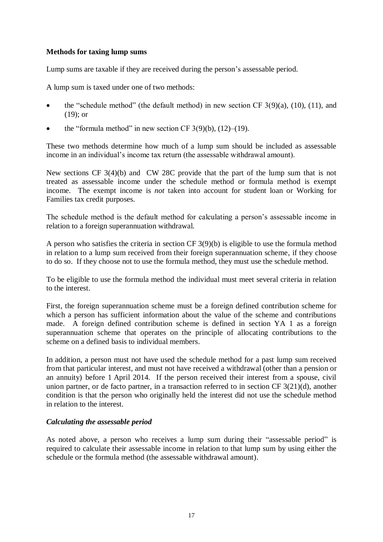## **Methods for taxing lump sums**

Lump sums are taxable if they are received during the person's assessable period.

A lump sum is taxed under one of two methods:

- the "schedule method" (the default method) in new section CF  $3(9)(a)$ ,  $(10)$ ,  $(11)$ , and (19); or
- the "formula method" in new section CF  $3(9)(b)$ ,  $(12)$ – $(19)$ .

These two methods determine how much of a lump sum should be included as assessable income in an individual's income tax return (the assessable withdrawal amount).

New sections CF 3(4)(b) and CW 28C provide that the part of the lump sum that is not treated as assessable income under the schedule method or formula method is exempt income. The exempt income is *not* taken into account for student loan or Working for Families tax credit purposes.

The schedule method is the default method for calculating a person's assessable income in relation to a foreign superannuation withdrawal.

A person who satisfies the criteria in section CF 3(9)(b) is eligible to use the formula method in relation to a lump sum received from their foreign superannuation scheme, if they choose to do so. If they choose not to use the formula method, they must use the schedule method.

To be eligible to use the formula method the individual must meet several criteria in relation to the interest.

First, the foreign superannuation scheme must be a foreign defined contribution scheme for which a person has sufficient information about the value of the scheme and contributions made. A foreign defined contribution scheme is defined in section YA 1 as a foreign superannuation scheme that operates on the principle of allocating contributions to the scheme on a defined basis to individual members.

In addition, a person must not have used the schedule method for a past lump sum received from that particular interest, and must not have received a withdrawal (other than a pension or an annuity) before 1 April 2014. If the person received their interest from a spouse, civil union partner, or de facto partner, in a transaction referred to in section CF 3(21)(d), another condition is that the person who originally held the interest did not use the schedule method in relation to the interest.

## *Calculating the assessable period*

As noted above, a person who receives a lump sum during their "assessable period" is required to calculate their assessable income in relation to that lump sum by using either the schedule or the formula method (the assessable withdrawal amount).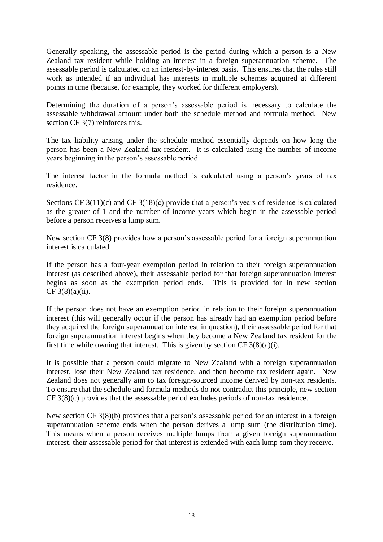Generally speaking, the assessable period is the period during which a person is a New Zealand tax resident while holding an interest in a foreign superannuation scheme. The assessable period is calculated on an interest-by-interest basis. This ensures that the rules still work as intended if an individual has interests in multiple schemes acquired at different points in time (because, for example, they worked for different employers).

Determining the duration of a person's assessable period is necessary to calculate the assessable withdrawal amount under both the schedule method and formula method. New section CF 3(7) reinforces this.

The tax liability arising under the schedule method essentially depends on how long the person has been a New Zealand tax resident. It is calculated using the number of income years beginning in the person's assessable period.

The interest factor in the formula method is calculated using a person's years of tax residence.

Sections CF 3(11)(c) and CF 3(18)(c) provide that a person's years of residence is calculated as the greater of 1 and the number of income years which begin in the assessable period before a person receives a lump sum.

New section CF 3(8) provides how a person's assessable period for a foreign superannuation interest is calculated.

If the person has a four-year exemption period in relation to their foreign superannuation interest (as described above), their assessable period for that foreign superannuation interest begins as soon as the exemption period ends. This is provided for in new section  $CF 3(8)(a)(ii)$ .

If the person does not have an exemption period in relation to their foreign superannuation interest (this will generally occur if the person has already had an exemption period before they acquired the foreign superannuation interest in question), their assessable period for that foreign superannuation interest begins when they become a New Zealand tax resident for the first time while owning that interest. This is given by section CF  $3(8)(a)(i)$ .

It is possible that a person could migrate to New Zealand with a foreign superannuation interest, lose their New Zealand tax residence, and then become tax resident again. New Zealand does not generally aim to tax foreign-sourced income derived by non-tax residents. To ensure that the schedule and formula methods do not contradict this principle, new section CF 3(8)(c) provides that the assessable period excludes periods of non-tax residence.

New section CF 3(8)(b) provides that a person's assessable period for an interest in a foreign superannuation scheme ends when the person derives a lump sum (the distribution time). This means when a person receives multiple lumps from a given foreign superannuation interest, their assessable period for that interest is extended with each lump sum they receive.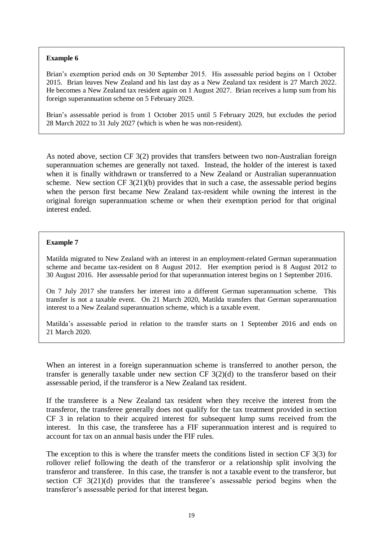#### **Example 6**

Brian's exemption period ends on 30 September 2015. His assessable period begins on 1 October 2015. Brian leaves New Zealand and his last day as a New Zealand tax resident is 27 March 2022. He becomes a New Zealand tax resident again on 1 August 2027. Brian receives a lump sum from his foreign superannuation scheme on 5 February 2029.

Brian's assessable period is from 1 October 2015 until 5 February 2029, but excludes the period 28 March 2022 to 31 July 2027 (which is when he was non-resident).

As noted above, section CF 3(2) provides that transfers between two non-Australian foreign superannuation schemes are generally not taxed. Instead, the holder of the interest is taxed when it is finally withdrawn or transferred to a New Zealand or Australian superannuation scheme. New section CF 3(21)(b) provides that in such a case, the assessable period begins when the person first became New Zealand tax-resident while owning the interest in the original foreign superannuation scheme or when their exemption period for that original interest ended.

#### **Example 7**

Matilda migrated to New Zealand with an interest in an employment-related German superannuation scheme and became tax-resident on 8 August 2012. Her exemption period is 8 August 2012 to 30 August 2016. Her assessable period for that superannuation interest begins on 1 September 2016.

On 7 July 2017 she transfers her interest into a different German superannuation scheme. This transfer is not a taxable event. On 21 March 2020, Matilda transfers that German superannuation interest to a New Zealand superannuation scheme, which is a taxable event.

Matilda's assessable period in relation to the transfer starts on 1 September 2016 and ends on 21 March 2020.

When an interest in a foreign superannuation scheme is transferred to another person, the transfer is generally taxable under new section CF 3(2)(d) to the transferor based on their assessable period, if the transferor is a New Zealand tax resident.

If the transferee is a New Zealand tax resident when they receive the interest from the transferor, the transferee generally does not qualify for the tax treatment provided in section CF 3 in relation to their acquired interest for subsequent lump sums received from the interest. In this case, the transferee has a FIF superannuation interest and is required to account for tax on an annual basis under the FIF rules.

The exception to this is where the transfer meets the conditions listed in section CF 3(3) for rollover relief following the death of the transferor or a relationship split involving the transferor and transferee. In this case, the transfer is not a taxable event to the transferor, but section CF 3(21)(d) provides that the transferee's assessable period begins when the transferor's assessable period for that interest began.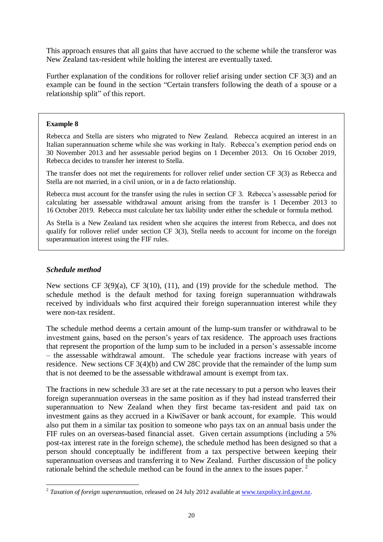This approach ensures that all gains that have accrued to the scheme while the transferor was New Zealand tax-resident while holding the interest are eventually taxed.

Further explanation of the conditions for rollover relief arising under section CF 3(3) and an example can be found in the section ["Certain transfers following the death of a spouse or a](#page-13-0)  [relationship split"](#page-13-0) of this report.

#### **Example 8**

Rebecca and Stella are sisters who migrated to New Zealand. Rebecca acquired an interest in an Italian superannuation scheme while she was working in Italy. Rebecca's exemption period ends on 30 November 2013 and her assessable period begins on 1 December 2013. On 16 October 2019, Rebecca decides to transfer her interest to Stella.

The transfer does not met the requirements for rollover relief under section CF 3(3) as Rebecca and Stella are not married, in a civil union, or in a de facto relationship.

Rebecca must account for the transfer using the rules in section CF 3. Rebecca's assessable period for calculating her assessable withdrawal amount arising from the transfer is 1 December 2013 to 16 October 2019. Rebecca must calculate her tax liability under either the schedule or formula method.

As Stella is a New Zealand tax resident when she acquires the interest from Rebecca, and does not qualify for rollover relief under section CF 3(3), Stella needs to account for income on the foreign superannuation interest using the FIF rules.

## *Schedule method*

New sections CF 3(9)(a), CF 3(10), (11), and (19) provide for the schedule method. The schedule method is the default method for taxing foreign superannuation withdrawals received by individuals who first acquired their foreign superannuation interest while they were non-tax resident.

The schedule method deems a certain amount of the lump-sum transfer or withdrawal to be investment gains, based on the person's years of tax residence. The approach uses fractions that represent the proportion of the lump sum to be included in a person's assessable income – the assessable withdrawal amount. The schedule year fractions increase with years of residence. New sections CF 3(4)(b) and CW 28C provide that the remainder of the lump sum that is not deemed to be the assessable withdrawal amount is exempt from tax.

The fractions in new schedule 33 are set at the rate necessary to put a person who leaves their foreign superannuation overseas in the same position as if they had instead transferred their superannuation to New Zealand when they first became tax-resident and paid tax on investment gains as they accrued in a KiwiSaver or bank account, for example. This would also put them in a similar tax position to someone who pays tax on an annual basis under the FIF rules on an overseas-based financial asset. Given certain assumptions (including a 5% post-tax interest rate in the foreign scheme), the schedule method has been designed so that a person should conceptually be indifferent from a tax perspective between keeping their superannuation overseas and transferring it to New Zealand. Further discussion of the policy rationale behind the schedule method can be found in the annex to the issues paper. <sup>2</sup>

 2 *Taxation of foreign superannuation*, released on 24 July 2012 available a[t www.taxpolicy.ird.govt.nz.](http://www.taxpolicy.ird.govt.nz/)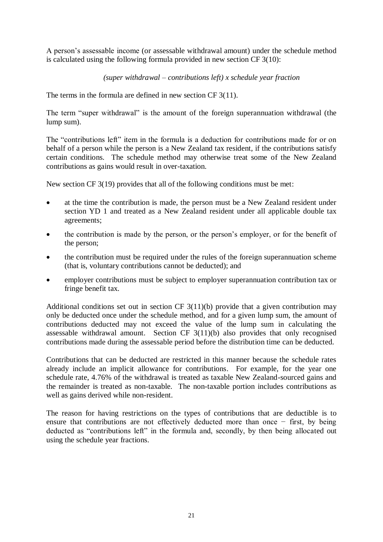A person's assessable income (or assessable withdrawal amount) under the schedule method is calculated using the following formula provided in new section CF 3(10):

## *(super withdrawal – contributions left) x schedule year fraction*

The terms in the formula are defined in new section CF 3(11).

The term "super withdrawal" is the amount of the foreign superannuation withdrawal (the lump sum).

The "contributions left" item in the formula is a deduction for contributions made for or on behalf of a person while the person is a New Zealand tax resident, if the contributions satisfy certain conditions. The schedule method may otherwise treat some of the New Zealand contributions as gains would result in over-taxation.

New section CF 3(19) provides that all of the following conditions must be met:

- at the time the contribution is made, the person must be a New Zealand resident under section YD 1 and treated as a New Zealand resident under all applicable double tax agreements;
- the contribution is made by the person, or the person's employer, or for the benefit of the person;
- the contribution must be required under the rules of the foreign superannuation scheme (that is, voluntary contributions cannot be deducted); and
- employer contributions must be subject to employer superannuation contribution tax or fringe benefit tax.

Additional conditions set out in section CF 3(11)(b) provide that a given contribution may only be deducted once under the schedule method, and for a given lump sum, the amount of contributions deducted may not exceed the value of the lump sum in calculating the assessable withdrawal amount. Section CF 3(11)(b) also provides that only recognised contributions made during the assessable period before the distribution time can be deducted.

Contributions that can be deducted are restricted in this manner because the schedule rates already include an implicit allowance for contributions. For example, for the year one schedule rate, 4.76% of the withdrawal is treated as taxable New Zealand-sourced gains and the remainder is treated as non-taxable. The non-taxable portion includes contributions as well as gains derived while non-resident.

The reason for having restrictions on the types of contributions that are deductible is to ensure that contributions are not effectively deducted more than once − first, by being deducted as "contributions left" in the formula and, secondly, by then being allocated out using the schedule year fractions.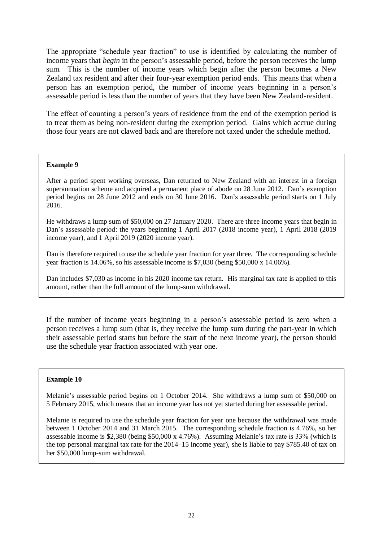The appropriate "schedule year fraction" to use is identified by calculating the number of income years that *begin* in the person's assessable period, before the person receives the lump sum. This is the number of income years which begin after the person becomes a New Zealand tax resident and after their four-year exemption period ends. This means that when a person has an exemption period, the number of income years beginning in a person's assessable period is less than the number of years that they have been New Zealand-resident.

The effect of counting a person's years of residence from the end of the exemption period is to treat them as being non-resident during the exemption period. Gains which accrue during those four years are not clawed back and are therefore not taxed under the schedule method.

## **Example 9**

After a period spent working overseas, Dan returned to New Zealand with an interest in a foreign superannuation scheme and acquired a permanent place of abode on 28 June 2012. Dan's exemption period begins on 28 June 2012 and ends on 30 June 2016. Dan's assessable period starts on 1 July 2016.

He withdraws a lump sum of \$50,000 on 27 January 2020. There are three income years that begin in Dan's assessable period: the years beginning 1 April 2017 (2018 income year), 1 April 2018 (2019 income year), and 1 April 2019 (2020 income year).

Dan is therefore required to use the schedule year fraction for year three. The corresponding schedule year fraction is 14.06%, so his assessable income is \$7,030 (being \$50,000 x 14.06%).

Dan includes \$7,030 as income in his 2020 income tax return. His marginal tax rate is applied to this amount, rather than the full amount of the lump-sum withdrawal.

If the number of income years beginning in a person's assessable period is zero when a person receives a lump sum (that is, they receive the lump sum during the part-year in which their assessable period starts but before the start of the next income year), the person should use the schedule year fraction associated with year one.

## **Example 10**

Melanie's assessable period begins on 1 October 2014. She withdraws a lump sum of \$50,000 on 5 February 2015, which means that an income year has not yet started during her assessable period.

Melanie is required to use the schedule year fraction for year one because the withdrawal was made between 1 October 2014 and 31 March 2015. The corresponding schedule fraction is 4.76%, so her assessable income is \$2,380 (being \$50,000 x 4.76%). Assuming Melanie's tax rate is 33% (which is the top personal marginal tax rate for the 2014–15 income year), she is liable to pay \$785.40 of tax on her \$50,000 lump-sum withdrawal.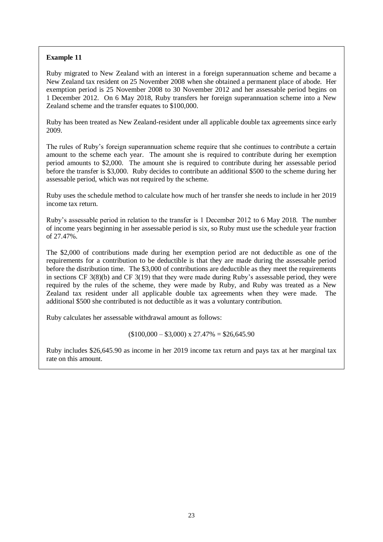## **Example 11**

Ruby migrated to New Zealand with an interest in a foreign superannuation scheme and became a New Zealand tax resident on 25 November 2008 when she obtained a permanent place of abode. Her exemption period is 25 November 2008 to 30 November 2012 and her assessable period begins on 1 December 2012. On 6 May 2018, Ruby transfers her foreign superannuation scheme into a New Zealand scheme and the transfer equates to \$100,000.

Ruby has been treated as New Zealand-resident under all applicable double tax agreements since early 2009.

The rules of Ruby's foreign superannuation scheme require that she continues to contribute a certain amount to the scheme each year. The amount she is required to contribute during her exemption period amounts to \$2,000. The amount she is required to contribute during her assessable period before the transfer is \$3,000. Ruby decides to contribute an additional \$500 to the scheme during her assessable period, which was not required by the scheme.

Ruby uses the schedule method to calculate how much of her transfer she needs to include in her 2019 income tax return.

Ruby's assessable period in relation to the transfer is 1 December 2012 to 6 May 2018. The number of income years beginning in her assessable period is six, so Ruby must use the schedule year fraction of 27.47%.

The \$2,000 of contributions made during her exemption period are not deductible as one of the requirements for a contribution to be deductible is that they are made during the assessable period before the distribution time. The \$3,000 of contributions are deductible as they meet the requirements in sections CF 3(8)(b) and CF 3(19) that they were made during Ruby's assessable period, they were required by the rules of the scheme, they were made by Ruby, and Ruby was treated as a New Zealand tax resident under all applicable double tax agreements when they were made. The additional \$500 she contributed is not deductible as it was a voluntary contribution.

Ruby calculates her assessable withdrawal amount as follows:

 $(100,000 - 33,000)$  x 27.47% = \$26,645.90

Ruby includes \$26,645.90 as income in her 2019 income tax return and pays tax at her marginal tax rate on this amount.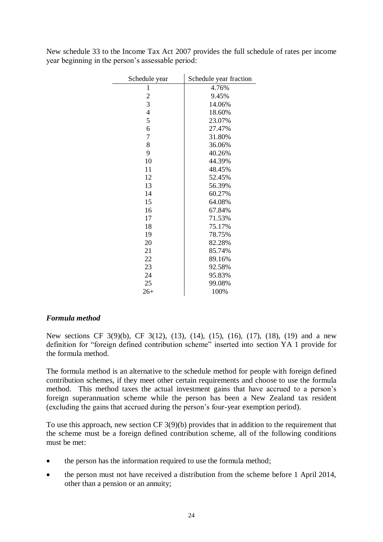| Schedule year  | Schedule year fraction |
|----------------|------------------------|
| 1              | 4.76%                  |
| $\overline{c}$ | 9.45%                  |
| 3              | 14.06%                 |
| 4              | 18.60%                 |
| 5              | 23.07%                 |
| 6              | 27.47%                 |
| 7              | 31.80%                 |
| 8              | 36.06%                 |
| 9              | 40.26%                 |
| 10             | 44.39%                 |
| 11             | 48.45%                 |
| 12             | 52.45%                 |
| 13             | 56.39%                 |
| 14             | 60.27%                 |
| 15             | 64.08%                 |
| 16             | 67.84%                 |
| 17             | 71.53%                 |
| 18             | 75.17%                 |
| 19             | 78.75%                 |
| 20             | 82.28%                 |
| 21             | 85.74%                 |
| 22             | 89.16%                 |
| 23             | 92.58%                 |
| 24             | 95.83%                 |
| 25             | 99.08%                 |
| $26+$          | 100%                   |

New schedule 33 to the Income Tax Act 2007 provides the full schedule of rates per income year beginning in the person's assessable period:

 $\mathbf{r}$ 

## *Formula method*

New sections CF 3(9)(b), CF 3(12), (13), (14), (15), (16), (17), (18), (19) and a new definition for "foreign defined contribution scheme" inserted into section YA 1 provide for the formula method.

The formula method is an alternative to the schedule method for people with foreign defined contribution schemes, if they meet other certain requirements and choose to use the formula method. This method taxes the actual investment gains that have accrued to a person's foreign superannuation scheme while the person has been a New Zealand tax resident (excluding the gains that accrued during the person's four-year exemption period).

To use this approach, new section CF 3(9)(b) provides that in addition to the requirement that the scheme must be a foreign defined contribution scheme, all of the following conditions must be met:

- the person has the information required to use the formula method;
- the person must not have received a distribution from the scheme before 1 April 2014, other than a pension or an annuity;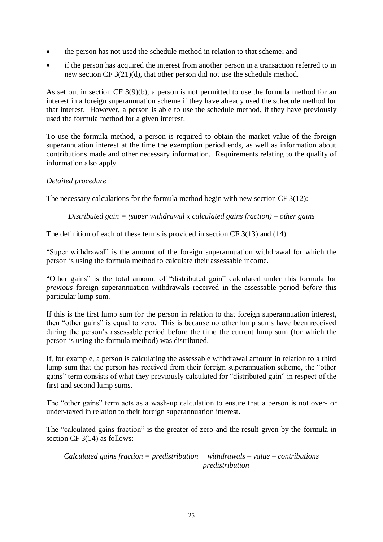- the person has not used the schedule method in relation to that scheme; and
- if the person has acquired the interest from another person in a transaction referred to in new section CF 3(21)(d), that other person did not use the schedule method.

As set out in section CF 3(9)(b), a person is not permitted to use the formula method for an interest in a foreign superannuation scheme if they have already used the schedule method for that interest. However, a person is able to use the schedule method, if they have previously used the formula method for a given interest.

To use the formula method, a person is required to obtain the market value of the foreign superannuation interest at the time the exemption period ends, as well as information about contributions made and other necessary information. Requirements relating to the quality of information also apply.

## *Detailed procedure*

The necessary calculations for the formula method begin with new section CF 3(12):

*Distributed gain = (super withdrawal x calculated gains fraction) – other gains*

The definition of each of these terms is provided in section CF 3(13) and (14).

"Super withdrawal" is the amount of the foreign superannuation withdrawal for which the person is using the formula method to calculate their assessable income.

"Other gains" is the total amount of "distributed gain" calculated under this formula for *previous* foreign superannuation withdrawals received in the assessable period *before* this particular lump sum.

If this is the first lump sum for the person in relation to that foreign superannuation interest, then "other gains" is equal to zero. This is because no other lump sums have been received during the person's assessable period before the time the current lump sum (for which the person is using the formula method) was distributed.

If, for example, a person is calculating the assessable withdrawal amount in relation to a third lump sum that the person has received from their foreign superannuation scheme, the "other gains" term consists of what they previously calculated for "distributed gain" in respect of the first and second lump sums.

The "other gains" term acts as a wash-up calculation to ensure that a person is not over- or under-taxed in relation to their foreign superannuation interest.

The "calculated gains fraction" is the greater of zero and the result given by the formula in section CF 3(14) as follows:

*Calculated gains fraction = predistribution + withdrawals – value – contributions predistribution*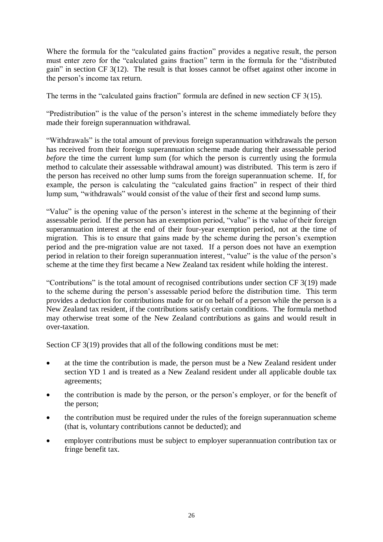Where the formula for the "calculated gains fraction" provides a negative result, the person must enter zero for the "calculated gains fraction" term in the formula for the "distributed gain" in section CF 3(12). The result is that losses cannot be offset against other income in the person's income tax return.

The terms in the "calculated gains fraction" formula are defined in new section CF 3(15).

"Predistribution" is the value of the person's interest in the scheme immediately before they made their foreign superannuation withdrawal.

"Withdrawals" is the total amount of previous foreign superannuation withdrawals the person has received from their foreign superannuation scheme made during their assessable period *before* the time the current lump sum (for which the person is currently using the formula method to calculate their assessable withdrawal amount) was distributed. This term is zero if the person has received no other lump sums from the foreign superannuation scheme. If, for example, the person is calculating the "calculated gains fraction" in respect of their third lump sum, "withdrawals" would consist of the value of their first and second lump sums.

"Value" is the opening value of the person's interest in the scheme at the beginning of their assessable period. If the person has an exemption period, "value" is the value of their foreign superannuation interest at the end of their four-year exemption period, not at the time of migration. This is to ensure that gains made by the scheme during the person's exemption period and the pre-migration value are not taxed. If a person does not have an exemption period in relation to their foreign superannuation interest, "value" is the value of the person's scheme at the time they first became a New Zealand tax resident while holding the interest.

"Contributions" is the total amount of recognised contributions under section CF 3(19) made to the scheme during the person's assessable period before the distribution time. This term provides a deduction for contributions made for or on behalf of a person while the person is a New Zealand tax resident, if the contributions satisfy certain conditions. The formula method may otherwise treat some of the New Zealand contributions as gains and would result in over-taxation.

Section CF 3(19) provides that all of the following conditions must be met:

- at the time the contribution is made, the person must be a New Zealand resident under section YD 1 and is treated as a New Zealand resident under all applicable double tax agreements;
- the contribution is made by the person, or the person's employer, or for the benefit of the person;
- the contribution must be required under the rules of the foreign superannuation scheme (that is, voluntary contributions cannot be deducted); and
- employer contributions must be subject to employer superannuation contribution tax or fringe benefit tax.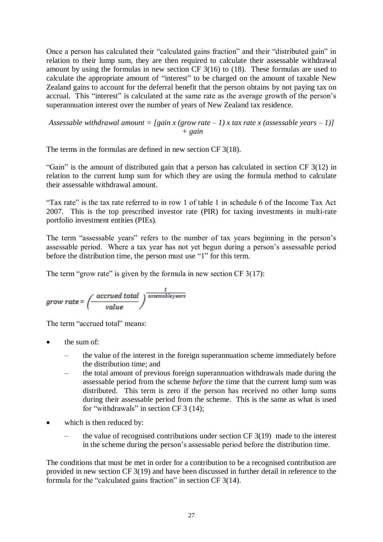Once a person has calculated their "calculated gains fraction" and their "distributed gain" in relation to their lump sum, they are then required to calculate their assessable withdrawal amount by using the formulas in new section CF 3(16) to (18). These formulas are used to calculate the appropriate amount of "interest" to be charged on the amount of taxable New Zealand gains to account for the deferral benefit that the person obtains by not paying tax on accrual. This "interest" is calculated at the same rate as the average growth of the person's superannuation interest over the number of years of New Zealand tax residence.

*Assessable withdrawal amount = [gain x (grow rate – 1) x tax rate x (assessable years – 1)] + gain*

The terms in the formulas are defined in new section CF 3(18).

"Gain" is the amount of distributed gain that a person has calculated in section CF 3(12) in relation to the current lump sum for which they are using the formula method to calculate their assessable withdrawal amount.

"Tax rate" is the tax rate referred to in row 1 of table 1 in schedule 6 of the Income Tax Act 2007. This is the top prescribed investor rate (PIR) for taxing investments in multi-rate portfolio investment entities (PIEs).

The term "assessable years" refers to the number of tax years beginning in the person's assessable period. Where a tax year has not yet begun during a person's assessable period before the distribution time, the person must use "1" for this term.

The term "grow rate" is given by the formula in new section  $CF\ 3(17)$ :

$$
grow\ rate = \left(\frac{accrued\ total}{value}\right)^{\frac{1}{assessableyears}}
$$

The term "accrued total" means:

- the sum of:
	- the value of the interest in the foreign superannuation scheme immediately before the distribution time; and
	- the total amount of previous foreign superannuation withdrawals made during the assessable period from the scheme *before* the time that the current lump sum was distributed. This term is zero if the person has received no other lump sums during their assessable period from the scheme. This is the same as what is used for "withdrawals" in section CF 3 (14);
- which is then reduced by:
	- the value of recognised contributions under section  $CF\,3(19)$  made to the interest in the scheme during the person's assessable period before the distribution time.

The conditions that must be met in order for a contribution to be a recognised contribution are provided in new section CF 3(19) and have been discussed in further detail in reference to the formula for the "calculated gains fraction" in section CF 3(14).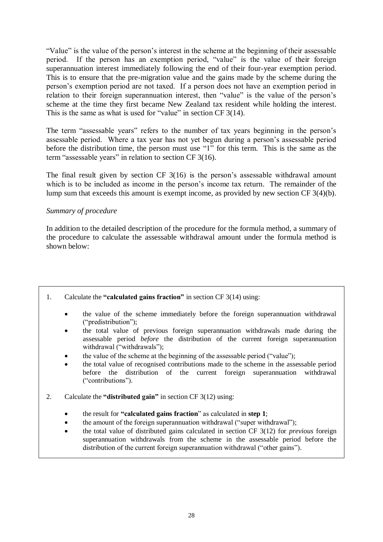"Value" is the value of the person's interest in the scheme at the beginning of their assessable period. If the person has an exemption period, "value" is the value of their foreign superannuation interest immediately following the end of their four-year exemption period. This is to ensure that the pre-migration value and the gains made by the scheme during the person's exemption period are not taxed. If a person does not have an exemption period in relation to their foreign superannuation interest, then "value" is the value of the person's scheme at the time they first became New Zealand tax resident while holding the interest. This is the same as what is used for "value" in section CF 3(14).

The term "assessable years" refers to the number of tax years beginning in the person's assessable period. Where a tax year has not yet begun during a person's assessable period before the distribution time, the person must use "1" for this term. This is the same as the term "assessable years" in relation to section CF 3(16).

The final result given by section CF 3(16) is the person's assessable withdrawal amount which is to be included as income in the person's income tax return. The remainder of the lump sum that exceeds this amount is exempt income, as provided by new section CF 3(4)(b).

## *Summary of procedure*

In addition to the detailed description of the procedure for the formula method, a summary of the procedure to calculate the assessable withdrawal amount under the formula method is shown below:

- 1. Calculate the **"calculated gains fraction"** in section CF 3(14) using:
	- the value of the scheme immediately before the foreign superannuation withdrawal ("predistribution");
	- the total value of previous foreign superannuation withdrawals made during the assessable period *before* the distribution of the current foreign superannuation withdrawal ("withdrawals");
	- the value of the scheme at the beginning of the assessable period ("value");
	- the total value of recognised contributions made to the scheme in the assessable period before the distribution of the current foreign superannuation withdrawal ("contributions").
- 2. Calculate the **"distributed gain"** in section CF 3(12) using:
	- the result for **"calculated gains fraction**" as calculated in **step 1**;
	- the amount of the foreign superannuation withdrawal ("super withdrawal");
	- the total value of distributed gains calculated in section CF 3(12) for *previous* foreign superannuation withdrawals from the scheme in the assessable period before the distribution of the current foreign superannuation withdrawal ("other gains").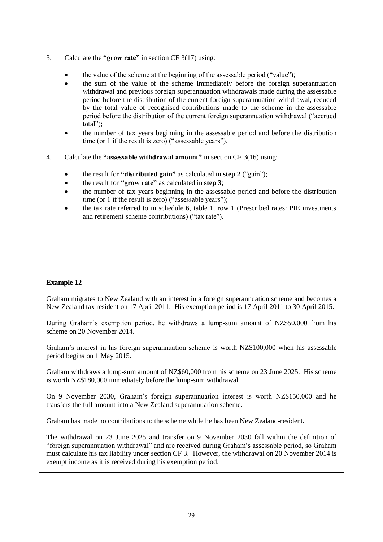- 3. Calculate the **"grow rate"** in section CF 3(17) using:
	- the value of the scheme at the beginning of the assessable period ("value");
	- the sum of the value of the scheme immediately before the foreign superannuation withdrawal and previous foreign superannuation withdrawals made during the assessable period before the distribution of the current foreign superannuation withdrawal, reduced by the total value of recognised contributions made to the scheme in the assessable period before the distribution of the current foreign superannuation withdrawal ("accrued total");
	- the number of tax years beginning in the assessable period and before the distribution time (or 1 if the result is zero) ("assessable years").
- 4. Calculate the **"assessable withdrawal amount"** in section CF 3(16) using:
	- the result for **"distributed gain"** as calculated in **step 2** ("gain");
	- the result for **"grow rate"** as calculated in **step 3**;
	- the number of tax years beginning in the assessable period and before the distribution time (or 1 if the result is zero) ("assessable years");
	- the tax rate referred to in schedule 6, table 1, row 1 (Prescribed rates: PIE investments and retirement scheme contributions) ("tax rate").

## **Example 12**

Graham migrates to New Zealand with an interest in a foreign superannuation scheme and becomes a New Zealand tax resident on 17 April 2011. His exemption period is 17 April 2011 to 30 April 2015.

During Graham's exemption period, he withdraws a lump-sum amount of NZ\$50,000 from his scheme on 20 November 2014.

Graham's interest in his foreign superannuation scheme is worth NZ\$100,000 when his assessable period begins on 1 May 2015.

Graham withdraws a lump-sum amount of NZ\$60,000 from his scheme on 23 June 2025. His scheme is worth NZ\$180,000 immediately before the lump-sum withdrawal.

On 9 November 2030, Graham's foreign superannuation interest is worth NZ\$150,000 and he transfers the full amount into a New Zealand superannuation scheme.

Graham has made no contributions to the scheme while he has been New Zealand-resident.

The withdrawal on 23 June 2025 and transfer on 9 November 2030 fall within the definition of "foreign superannuation withdrawal" and are received during Graham's assessable period, so Graham must calculate his tax liability under section CF 3. However, the withdrawal on 20 November 2014 is exempt income as it is received during his exemption period.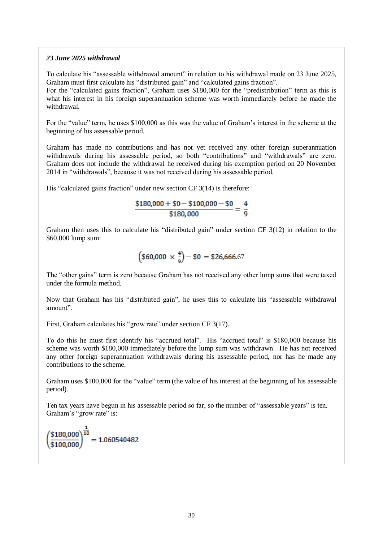#### *23 June 2025 withdrawal*

To calculate his "assessable withdrawal amount" in relation to his withdrawal made on 23 June 2025, Graham must first calculate his "distributed gain" and "calculated gains fraction".

For the "calculated gains fraction", Graham uses \$180,000 for the "predistribution" term as this is what his interest in his foreign superannuation scheme was worth immediately before he made the withdrawal.

For the "value" term, he uses \$100,000 as this was the value of Graham's interest in the scheme at the beginning of his assessable period.

Graham has made no contributions and has not yet received any other foreign superannuation withdrawals during his assessable period, so both "contributions" and "withdrawals" are zero. Graham does not include the withdrawal he received during his exemption period on 20 November 2014 in "withdrawals", because it was not received during his assessable period.

His "calculated gains fraction" under new section CF 3(14) is therefore:

$$
\frac{$180,000 + $0 - $100,000 - $0}{\$180,000} = \frac{4}{9}
$$

Graham then uses this to calculate his "distributed gain" under section CF 3(12) in relation to the \$60,000 lump sum:

$$
\left(\$60,000 \,\times\frac{4}{9}\right) - \$0 = \$26,666.67
$$

The "other gains" term is zero because Graham has not received any other lump sums that were taxed under the formula method.

Now that Graham has his "distributed gain", he uses this to calculate his "assessable withdrawal amount".

First, Graham calculates his "grow rate" under section CF 3(17).

To do this he must first identify his "accrued total". His "accrued total" is \$180,000 because his scheme was worth \$180,000 immediately before the lump sum was withdrawn. He has not received any other foreign superannuation withdrawals during his assessable period, nor has he made any contributions to the scheme.

Graham uses \$100,000 for the "value" term (the value of his interest at the beginning of his assessable period).

Ten tax years have begun in his assessable period so far, so the number of "assessable years" is ten. Graham's "grow rate" is:

$$
\left(\frac{$180,000}{$100,000}\right)^{\frac{1}{10}} = 1.060540482
$$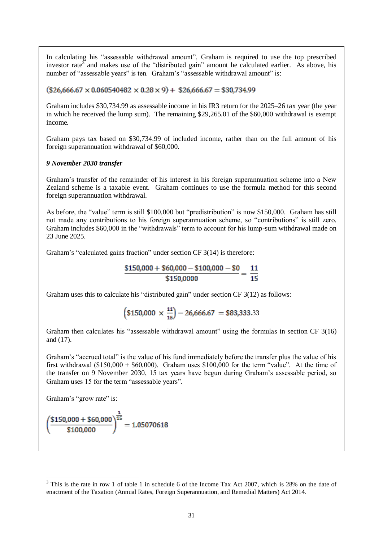In calculating his "assessable withdrawal amount", Graham is required to use the top prescribed investor rate<sup>3</sup> and makes use of the "distributed gain" amount he calculated earlier. As above, his number of "assessable years" is ten. Graham's "assessable withdrawal amount" is:

 $($26,666.67 \times 0.060540482 \times 0.28 \times 9) + $26,666.67 = $30,734.99$ 

Graham includes \$30,734.99 as assessable income in his IR3 return for the 2025–26 tax year (the year in which he received the lump sum). The remaining \$29,265.01 of the \$60,000 withdrawal is exempt income.

Graham pays tax based on \$30,734.99 of included income, rather than on the full amount of his foreign superannuation withdrawal of \$60,000.

#### *9 November 2030 transfer*

Graham's transfer of the remainder of his interest in his foreign superannuation scheme into a New Zealand scheme is a taxable event. Graham continues to use the formula method for this second foreign superannuation withdrawal.

As before, the "value" term is still \$100,000 but "predistribution" is now \$150,000. Graham has still not made any contributions to his foreign superannuation scheme, so "contributions" is still zero. Graham includes \$60,000 in the "withdrawals" term to account for his lump-sum withdrawal made on 23 June 2025.

Graham's "calculated gains fraction" under section CF 3(14) is therefore:

$$
\frac{$150,000 + $60,000 - $100,000 - $0}{\$150,0000} = \frac{11}{15}
$$

Graham uses this to calculate his "distributed gain" under section CF 3(12) as follows:

$$
\left(\$150,000\,\times\,\frac{11}{15}\right) - 26,666.67\ = \$83,333.33
$$

Graham then calculates his "assessable withdrawal amount" using the formulas in section CF 3(16) and (17).

Graham's "accrued total" is the value of his fund immediately before the transfer plus the value of his first withdrawal  $(\$150,000 + \$60,000)$ . Graham uses  $\$100,000$  for the term "value". At the time of the transfer on 9 November 2030, 15 tax years have begun during Graham's assessable period, so Graham uses 15 for the term "assessable years".

Graham's "grow rate" is:

1

$$
\left(\frac{\$150,000 + \$60,000}{\$100,000}\right)^{\frac{1}{15}} = 1.05070618
$$

 $3$  This is the rate in row 1 of table 1 in schedule 6 of the Income Tax Act 2007, which is 28% on the date of enactment of the Taxation (Annual Rates, Foreign Superannuation, and Remedial Matters) Act 2014.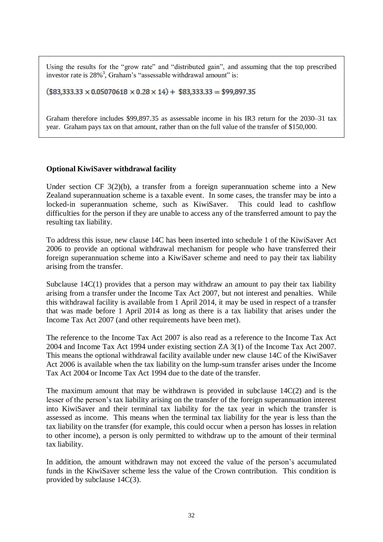Using the results for the "grow rate" and "distributed gain", and assuming that the top prescribed investor rate is 28%<sup>3</sup>, Graham's "assessable withdrawal amount" is:

 $($83,333.33 \times 0.05070618 \times 0.28 \times 14) + $83,333.33 = $99,897.35$ 

Graham therefore includes \$99,897.35 as assessable income in his IR3 return for the 2030–31 tax year. Graham pays tax on that amount, rather than on the full value of the transfer of \$150,000.

## **Optional KiwiSaver withdrawal facility**

Under section CF 3(2)(b), a transfer from a foreign superannuation scheme into a New Zealand superannuation scheme is a taxable event. In some cases, the transfer may be into a locked-in superannuation scheme, such as KiwiSaver. This could lead to cashflow difficulties for the person if they are unable to access any of the transferred amount to pay the resulting tax liability.

To address this issue, new clause 14C has been inserted into schedule 1 of the KiwiSaver Act 2006 to provide an optional withdrawal mechanism for people who have transferred their foreign superannuation scheme into a KiwiSaver scheme and need to pay their tax liability arising from the transfer.

Subclause 14C(1) provides that a person may withdraw an amount to pay their tax liability arising from a transfer under the Income Tax Act 2007, but not interest and penalties. While this withdrawal facility is available from 1 April 2014, it may be used in respect of a transfer that was made before 1 April 2014 as long as there is a tax liability that arises under the Income Tax Act 2007 (and other requirements have been met).

The reference to the Income Tax Act 2007 is also read as a reference to the Income Tax Act 2004 and Income Tax Act 1994 under existing section ZA 3(1) of the Income Tax Act 2007. This means the optional withdrawal facility available under new clause 14C of the KiwiSaver Act 2006 is available when the tax liability on the lump-sum transfer arises under the Income Tax Act 2004 or Income Tax Act 1994 due to the date of the transfer.

The maximum amount that may be withdrawn is provided in subclause 14C(2) and is the lesser of the person's tax liability arising on the transfer of the foreign superannuation interest into KiwiSaver and their terminal tax liability for the tax year in which the transfer is assessed as income. This means when the terminal tax liability for the year is less than the tax liability on the transfer (for example, this could occur when a person has losses in relation to other income), a person is only permitted to withdraw up to the amount of their terminal tax liability.

In addition, the amount withdrawn may not exceed the value of the person's accumulated funds in the KiwiSaver scheme less the value of the Crown contribution. This condition is provided by subclause 14C(3).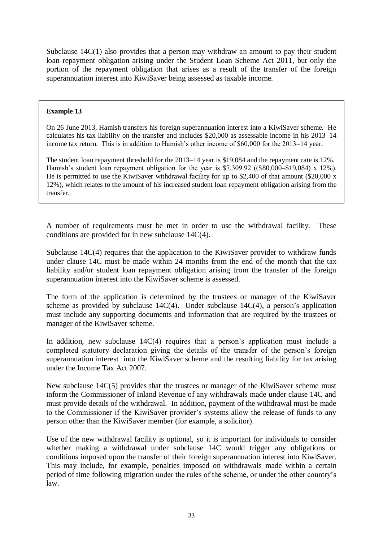Subclause 14C(1) also provides that a person may withdraw an amount to pay their student loan repayment obligation arising under the Student Loan Scheme Act 2011, but only the portion of the repayment obligation that arises as a result of the transfer of the foreign superannuation interest into KiwiSaver being assessed as taxable income.

#### **Example 13**

On 26 June 2013, Hamish transfers his foreign superannuation interest into a KiwiSaver scheme. He calculates his tax liability on the transfer and includes \$20,000 as assessable income in his 2013–14 income tax return. This is in addition to Hamish's other income of \$60,000 for the 2013–14 year.

The student loan repayment threshold for the 2013–14 year is \$19,084 and the repayment rate is 12%. Hamish's student loan repayment obligation for the year is \$7,309.92 ((\$80,000–\$19,084) x 12%). He is permitted to use the KiwiSaver withdrawal facility for up to \$2,400 of that amount (\$20,000 x 12%), which relates to the amount of his increased student loan repayment obligation arising from the transfer.

A number of requirements must be met in order to use the withdrawal facility. These conditions are provided for in new subclause 14C(4).

Subclause 14C(4) requires that the application to the KiwiSaver provider to withdraw funds under clause 14C must be made within 24 months from the end of the month that the tax liability and/or student loan repayment obligation arising from the transfer of the foreign superannuation interest into the KiwiSaver scheme is assessed.

The form of the application is determined by the trustees or manager of the KiwiSaver scheme as provided by subclause  $14C(4)$ . Under subclause  $14C(4)$ , a person's application must include any supporting documents and information that are required by the trustees or manager of the KiwiSaver scheme.

In addition, new subclause 14C(4) requires that a person's application must include a completed statutory declaration giving the details of the transfer of the person's foreign superannuation interest into the KiwiSaver scheme and the resulting liability for tax arising under the Income Tax Act 2007.

New subclause 14C(5) provides that the trustees or manager of the KiwiSaver scheme must inform the Commissioner of Inland Revenue of any withdrawals made under clause 14C and must provide details of the withdrawal. In addition, payment of the withdrawal must be made to the Commissioner if the KiwiSaver provider's systems allow the release of funds to any person other than the KiwiSaver member (for example, a solicitor).

Use of the new withdrawal facility is optional, so it is important for individuals to consider whether making a withdrawal under subclause 14C would trigger any obligations or conditions imposed upon the transfer of their foreign superannuation interest into KiwiSaver. This may include, for example, penalties imposed on withdrawals made within a certain period of time following migration under the rules of the scheme, or under the other country's law.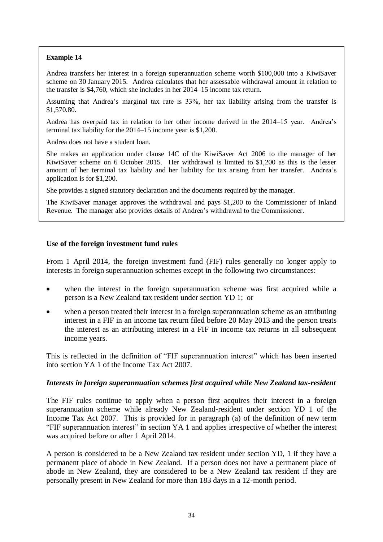## **Example 14**

Andrea transfers her interest in a foreign superannuation scheme worth \$100,000 into a KiwiSaver scheme on 30 January 2015. Andrea calculates that her assessable withdrawal amount in relation to the transfer is \$4,760, which she includes in her 2014–15 income tax return.

Assuming that Andrea's marginal tax rate is 33%, her tax liability arising from the transfer is \$1,570.80.

Andrea has overpaid tax in relation to her other income derived in the 2014–15 year. Andrea's terminal tax liability for the 2014–15 income year is \$1,200.

Andrea does not have a student loan.

She makes an application under clause 14C of the KiwiSaver Act 2006 to the manager of her KiwiSaver scheme on 6 October 2015. Her withdrawal is limited to \$1,200 as this is the lesser amount of her terminal tax liability and her liability for tax arising from her transfer. Andrea's application is for \$1,200.

She provides a signed statutory declaration and the documents required by the manager.

The KiwiSaver manager approves the withdrawal and pays \$1,200 to the Commissioner of Inland Revenue. The manager also provides details of Andrea's withdrawal to the Commissioner.

#### **Use of the foreign investment fund rules**

From 1 April 2014, the foreign investment fund (FIF) rules generally no longer apply to interests in foreign superannuation schemes except in the following two circumstances:

- when the interest in the foreign superannuation scheme was first acquired while a person is a New Zealand tax resident under section YD 1; or
- when a person treated their interest in a foreign superannuation scheme as an attributing interest in a FIF in an income tax return filed before 20 May 2013 and the person treats the interest as an attributing interest in a FIF in income tax returns in all subsequent income years.

This is reflected in the definition of "FIF superannuation interest" which has been inserted into section YA 1 of the Income Tax Act 2007.

## *Interests in foreign superannuation schemes first acquired while New Zealand tax-resident*

The FIF rules continue to apply when a person first acquires their interest in a foreign superannuation scheme while already New Zealand-resident under section YD 1 of the Income Tax Act 2007. This is provided for in paragraph (a) of the definition of new term "FIF superannuation interest" in section YA 1 and applies irrespective of whether the interest was acquired before or after 1 April 2014.

A person is considered to be a New Zealand tax resident under section YD, 1 if they have a permanent place of abode in New Zealand. If a person does not have a permanent place of abode in New Zealand, they are considered to be a New Zealand tax resident if they are personally present in New Zealand for more than 183 days in a 12-month period.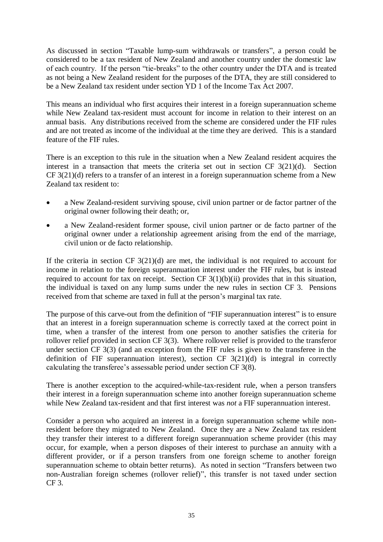As discussed in section "Taxable lump-sum withdrawals or transfers", a person could be considered to be a tax resident of New Zealand and another country under the domestic law of each country. If the person "tie-breaks" to the other country under the DTA and is treated as not being a New Zealand resident for the purposes of the DTA, they are still considered to be a New Zealand tax resident under section YD 1 of the Income Tax Act 2007.

This means an individual who first acquires their interest in a foreign superannuation scheme while New Zealand tax-resident must account for income in relation to their interest on an annual basis. Any distributions received from the scheme are considered under the FIF rules and are not treated as income of the individual at the time they are derived. This is a standard feature of the FIF rules.

There is an exception to this rule in the situation when a New Zealand resident acquires the interest in a transaction that meets the criteria set out in section CF 3(21)(d). Section CF 3(21)(d) refers to a transfer of an interest in a foreign superannuation scheme from a New Zealand tax resident to:

- a New Zealand-resident surviving spouse, civil union partner or de factor partner of the original owner following their death; or,
- a New Zealand-resident former spouse, civil union partner or de facto partner of the original owner under a relationship agreement arising from the end of the marriage, civil union or de facto relationship.

If the criteria in section CF  $3(21)(d)$  are met, the individual is not required to account for income in relation to the foreign superannuation interest under the FIF rules, but is instead required to account for tax on receipt. Section CF  $3(1)(b)(ii)$  provides that in this situation, the individual is taxed on any lump sums under the new rules in section CF 3. Pensions received from that scheme are taxed in full at the person's marginal tax rate.

The purpose of this carve-out from the definition of "FIF superannuation interest" is to ensure that an interest in a foreign superannuation scheme is correctly taxed at the correct point in time, when a transfer of the interest from one person to another satisfies the criteria for rollover relief provided in section CF 3(3). Where rollover relief is provided to the transferor under section CF 3(3) (and an exception from the FIF rules is given to the transferee in the definition of FIF superannuation interest), section CF 3(21)(d) is integral in correctly calculating the transferee's assessable period under section CF 3(8).

There is another exception to the acquired-while-tax-resident rule, when a person transfers their interest in a foreign superannuation scheme into another foreign superannuation scheme while New Zealand tax-resident and that first interest was *not* a FIF superannuation interest.

Consider a person who acquired an interest in a foreign superannuation scheme while nonresident before they migrated to New Zealand. Once they are a New Zealand tax resident they transfer their interest to a different foreign superannuation scheme provider (this may occur, for example, when a person disposes of their interest to purchase an annuity with a different provider, or if a person transfers from one foreign scheme to another foreign superannuation scheme to obtain better returns). As noted in section ["Transfers between two](#page-12-0) non-Australian [foreign schemes \(rollover relief\)"](#page-12-0), this transfer is not taxed under section CF 3.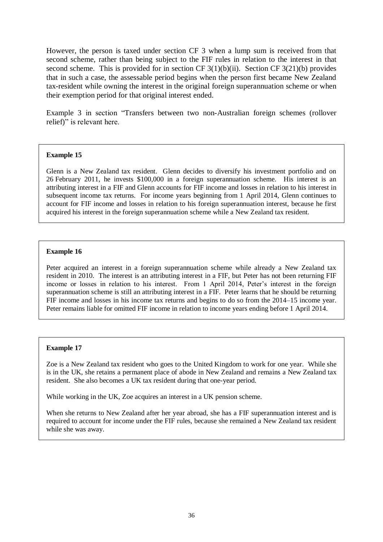However, the person is taxed under section CF 3 when a lump sum is received from that second scheme, rather than being subject to the FIF rules in relation to the interest in that second scheme. This is provided for in section CF 3(1)(b)(ii). Section CF 3(21)(b) provides that in such a case, the assessable period begins when the person first became New Zealand tax-resident while owning the interest in the original foreign superannuation scheme or when their exemption period for that original interest ended.

Example 3 in section "Transfers between two non-Australian [foreign schemes \(rollover](#page-12-0)  [relief\)"](#page-12-0) is relevant here.

#### **Example 15**

Glenn is a New Zealand tax resident. Glenn decides to diversify his investment portfolio and on 26 February 2011, he invests \$100,000 in a foreign superannuation scheme. His interest is an attributing interest in a FIF and Glenn accounts for FIF income and losses in relation to his interest in subsequent income tax returns. For income years beginning from 1 April 2014, Glenn continues to account for FIF income and losses in relation to his foreign superannuation interest, because he first acquired his interest in the foreign superannuation scheme while a New Zealand tax resident.

#### **Example 16**

Peter acquired an interest in a foreign superannuation scheme while already a New Zealand tax resident in 2010. The interest is an attributing interest in a FIF, but Peter has not been returning FIF income or losses in relation to his interest. From 1 April 2014, Peter's interest in the foreign superannuation scheme is still an attributing interest in a FIF. Peter learns that he should be returning FIF income and losses in his income tax returns and begins to do so from the 2014–15 income year. Peter remains liable for omitted FIF income in relation to income years ending before 1 April 2014.

## **Example 17**

Zoe is a New Zealand tax resident who goes to the United Kingdom to work for one year. While she is in the UK, she retains a permanent place of abode in New Zealand and remains a New Zealand tax resident. She also becomes a UK tax resident during that one-year period.

While working in the UK, Zoe acquires an interest in a UK pension scheme.

When she returns to New Zealand after her year abroad, she has a FIF superannuation interest and is required to account for income under the FIF rules, because she remained a New Zealand tax resident while she was away.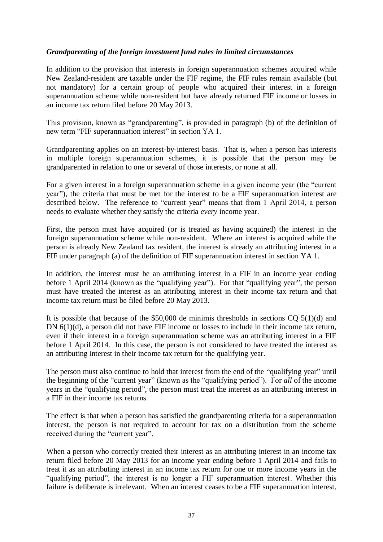## *Grandparenting of the foreign investment fund rules in limited circumstances*

In addition to the provision that interests in foreign superannuation schemes acquired while New Zealand-resident are taxable under the FIF regime, the FIF rules remain available (but not mandatory) for a certain group of people who acquired their interest in a foreign superannuation scheme while non-resident but have already returned FIF income or losses in an income tax return filed before 20 May 2013.

This provision, known as "grandparenting", is provided in paragraph (b) of the definition of new term "FIF superannuation interest" in section YA 1.

Grandparenting applies on an interest-by-interest basis. That is, when a person has interests in multiple foreign superannuation schemes, it is possible that the person may be grandparented in relation to one or several of those interests, or none at all.

For a given interest in a foreign superannuation scheme in a given income year (the "current year"), the criteria that must be met for the interest to be a FIF superannuation interest are described below. The reference to "current year" means that from 1 April 2014, a person needs to evaluate whether they satisfy the criteria *every* income year.

First, the person must have acquired (or is treated as having acquired) the interest in the foreign superannuation scheme while non-resident. Where an interest is acquired while the person is already New Zealand tax resident, the interest is already an attributing interest in a FIF under paragraph (a) of the definition of FIF superannuation interest in section YA 1.

In addition, the interest must be an attributing interest in a FIF in an income year ending before 1 April 2014 (known as the "qualifying year"). For that "qualifying year", the person must have treated the interest as an attributing interest in their income tax return and that income tax return must be filed before 20 May 2013.

It is possible that because of the  $$50,000$  de minimis thresholds in sections CQ  $5(1)(d)$  and DN 6(1)(d), a person did not have FIF income or losses to include in their income tax return, even if their interest in a foreign superannuation scheme was an attributing interest in a FIF before 1 April 2014. In this case, the person is not considered to have treated the interest as an attributing interest in their income tax return for the qualifying year.

The person must also continue to hold that interest from the end of the "qualifying year" until the beginning of the "current year" (known as the "qualifying period"). For *all* of the income years in the "qualifying period", the person must treat the interest as an attributing interest in a FIF in their income tax returns.

The effect is that when a person has satisfied the grandparenting criteria for a superannuation interest, the person is not required to account for tax on a distribution from the scheme received during the "current year".

When a person who correctly treated their interest as an attributing interest in an income tax return filed before 20 May 2013 for an income year ending before 1 April 2014 and fails to treat it as an attributing interest in an income tax return for one or more income years in the "qualifying period", the interest is no longer a FIF superannuation interest. Whether this failure is deliberate is irrelevant. When an interest ceases to be a FIF superannuation interest,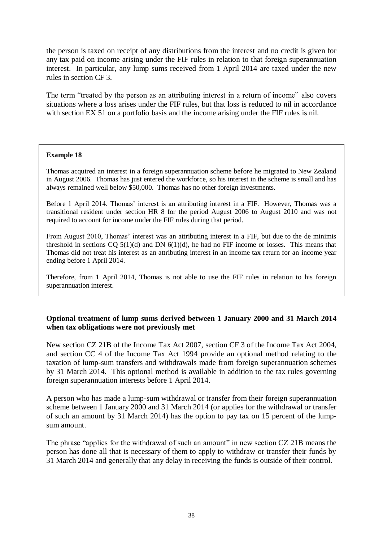the person is taxed on receipt of any distributions from the interest and no credit is given for any tax paid on income arising under the FIF rules in relation to that foreign superannuation interest. In particular, any lump sums received from 1 April 2014 are taxed under the new rules in section CF 3.

The term "treated by the person as an attributing interest in a return of income" also covers situations where a loss arises under the FIF rules, but that loss is reduced to nil in accordance with section EX 51 on a portfolio basis and the income arising under the FIF rules is nil.

## **Example 18**

Thomas acquired an interest in a foreign superannuation scheme before he migrated to New Zealand in August 2006. Thomas has just entered the workforce, so his interest in the scheme is small and has always remained well below \$50,000. Thomas has no other foreign investments.

Before 1 April 2014, Thomas' interest is an attributing interest in a FIF. However, Thomas was a transitional resident under section HR 8 for the period August 2006 to August 2010 and was not required to account for income under the FIF rules during that period.

From August 2010, Thomas' interest was an attributing interest in a FIF, but due to the de minimis threshold in sections CO  $5(1)(d)$  and DN  $6(1)(d)$ , he had no FIF income or losses. This means that Thomas did not treat his interest as an attributing interest in an income tax return for an income year ending before 1 April 2014.

Therefore, from 1 April 2014, Thomas is not able to use the FIF rules in relation to his foreign superannuation interest.

## **Optional treatment of lump sums derived between 1 January 2000 and 31 March 2014 when tax obligations were not previously met**

New section CZ 21B of the Income Tax Act 2007, section CF 3 of the Income Tax Act 2004, and section CC 4 of the Income Tax Act 1994 provide an optional method relating to the taxation of lump-sum transfers and withdrawals made from foreign superannuation schemes by 31 March 2014. This optional method is available in addition to the tax rules governing foreign superannuation interests before 1 April 2014.

A person who has made a lump-sum withdrawal or transfer from their foreign superannuation scheme between 1 January 2000 and 31 March 2014 (or applies for the withdrawal or transfer of such an amount by 31 March 2014) has the option to pay tax on 15 percent of the lumpsum amount.

The phrase "applies for the withdrawal of such an amount" in new section CZ 21B means the person has done all that is necessary of them to apply to withdraw or transfer their funds by 31 March 2014 and generally that any delay in receiving the funds is outside of their control.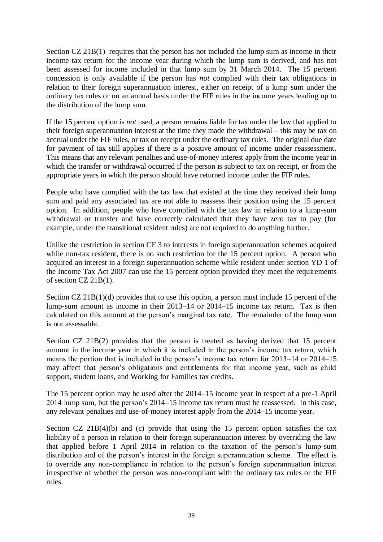Section CZ 21B(1) requires that the person has not included the lump sum as income in their income tax return for the income year during which the lump sum is derived, and has not been assessed for income included in that lump sum by 31 March 2014. The 15 percent concession is only available if the person has *not* complied with their tax obligations in relation to their foreign superannuation interest, either on receipt of a lump sum under the ordinary tax rules or on an annual basis under the FIF rules in the income years leading up to the distribution of the lump sum.

If the 15 percent option is *not* used, a person remains liable for tax under the law that applied to their foreign superannuation interest at the time they made the withdrawal – this may be tax on accrual under the FIF rules, or tax on receipt under the ordinary tax rules. The original due date for payment of tax still applies if there is a positive amount of income under reassessment. This means that any relevant penalties and use-of-money interest apply from the income year in which the transfer or withdrawal occurred if the person is subject to tax on receipt, or from the appropriate years in which the person should have returned income under the FIF rules.

People who have complied with the tax law that existed at the time they received their lump sum and paid any associated tax are not able to reassess their position using the 15 percent option. In addition, people who have complied with the tax law in relation to a lump-sum withdrawal or transfer and have correctly calculated that they have zero tax to pay (for example, under the transitional resident rules) are not required to do anything further.

Unlike the restriction in section CF 3 to interests in foreign superannuation schemes acquired while non-tax resident, there is no such restriction for the 15 percent option. A person who acquired an interest in a foreign superannuation scheme while resident under section YD 1 of the Income Tax Act 2007 can use the 15 percent option provided they meet the requirements of section CZ 21B(1).

Section CZ 21B(1)(d) provides that to use this option, a person must include 15 percent of the lump-sum amount as income in their 2013–14 or 2014–15 income tax return. Tax is then calculated on this amount at the person's marginal tax rate. The remainder of the lump sum is not assessable.

Section CZ 21B(2) provides that the person is treated as having derived that 15 percent amount in the income year in which it is included in the person's income tax return, which means the portion that is included in the person's income tax return for 2013–14 or 2014–15 may affect that person's obligations and entitlements for that income year, such as child support, student loans, and Working for Families tax credits.

The 15 percent option may be used after the 2014–15 income year in respect of a pre-1 April 2014 lump sum, but the person's 2014–15 income tax return must be reassessed. In this case, any relevant penalties and use-of-money interest apply from the 2014–15 income year.

Section  $CZ$  21B(4)(b) and (c) provide that using the 15 percent option satisfies the tax liability of a person in relation to their foreign superannuation interest by overriding the law that applied before 1 April 2014 in relation to the taxation of the person's lump-sum distribution and of the person's interest in the foreign superannuation scheme. The effect is to override any non-compliance in relation to the person's foreign superannuation interest irrespective of whether the person was non-compliant with the ordinary tax rules or the FIF rules.